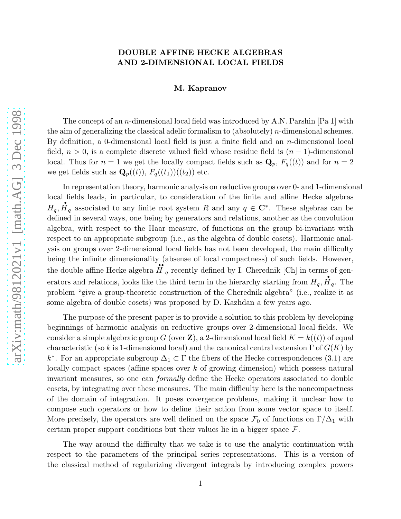# DOUBLE AFFINE HECKE ALGEBRAS AND 2-DIMENSIONAL LOCAL FIELDS

## M. Kapranov

The concept of an *n*-dimensional local field was introduced by A.N. Parshin [Pa 1] with the aim of generalizing the classical adelic formalism to (absolutely) n-dimensional schemes. By definition, a 0-dimensional local field is just a finite field and an  $n$ -dimensional local field,  $n > 0$ , is a complete discrete valued field whose residue field is  $(n - 1)$ -dimensional local. Thus for  $n = 1$  we get the locally compact fields such as  $\mathbf{Q}_p$ ,  $F_q((t))$  and for  $n = 2$ we get fields such as  $\mathbf{Q}_p((t)), F_q((t_1))((t_2))$  etc.

In representation theory, harmonic analysis on reductive groups over 0- and 1-dimensional local fields leads, in particular, to consideration of the finite and affine Hecke algebras  $H_q$ ,  $\mathbf{H}_q$  associated to any finite root system R and any  $q \in \mathbb{C}^*$ . These algebras can be defined in several ways, one being by generators and relations, another as the convolution algebra, with respect to the Haar measure, of functions on the group bi-invariant with respect to an appropriate subgroup (i.e., as the algebra of double cosets). Harmonic analysis on groups over 2-dimensional local fields has not been developed, the main difficulty being the infinite dimensionality (absense of local compactness) of such fields. However, the double affine Hecke algebra  $\overrightarrow{H}_q$  recently defined by I. Cherednik [Ch] in terms of generators and relations, looks like the third term in the hierarchy starting from  $H_q$ ,  $H_q$ . The problem "give a group-theoretic construction of the Cherednik algebra" (i.e., realize it as some algebra of double cosets) was proposed by D. Kazhdan a few years ago.

The purpose of the present paper is to provide a solution to this problem by developing beginnings of harmonic analysis on reductive groups over 2-dimensional local fields. We consider a simple algebraic group G (over **Z**), a 2-dimensional local field  $K = k((t))$  of equal characteristic (so k is 1-dimensional local) and the canonical central extension  $\Gamma$  of  $G(K)$  by k<sup>\*</sup>. For an appropriate subgroup  $\Delta_1 \subset \Gamma$  the fibers of the Hecke correspondences (3.1) are locally compact spaces (affine spaces over k of growing dimension) which possess natural invariant measures, so one can formally define the Hecke operators associated to double cosets, by integrating over these measures. The main difficulty here is the noncompactness of the domain of integration. It poses covergence problems, making it unclear how to compose such operators or how to define their action from some vector space to itself. More precisely, the operators are well defined on the space  $\mathcal{F}_0$  of functions on  $\Gamma/\Delta_1$  with certain proper support conditions but their values lie in a bigger space  $\mathcal{F}$ .

The way around the difficulty that we take is to use the analytic continuation with respect to the parameters of the principal series representations. This is a version of the classical method of regularizing divergent integrals by introducing complex powers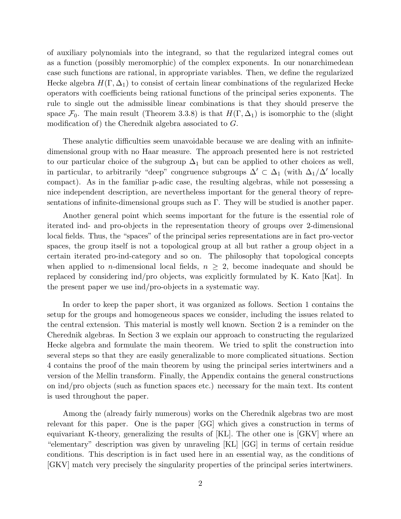of auxiliary polynomials into the integrand, so that the regularized integral comes out as a function (possibly meromorphic) of the complex exponents. In our nonarchimedean case such functions are rational, in appropriate variables. Then, we define the regularized Hecke algebra  $H(\Gamma, \Delta_1)$  to consist of certain linear combinations of the regularized Hecke operators with coefficients being rational functions of the principal series exponents. The rule to single out the admissible linear combinations is that they should preserve the space  $\mathcal{F}_0$ . The main result (Theorem 3.3.8) is that  $H(\Gamma,\Delta_1)$  is isomorphic to the (slight modification of) the Cherednik algebra associated to G.

These analytic difficulties seem unavoidable because we are dealing with an infinitedimensional group with no Haar measure. The approach presented here is not restricted to our particular choice of the subgroup  $\Delta_1$  but can be applied to other choices as well, in particular, to arbitrarily "deep" congruence subgroups  $\Delta' \subset \Delta_1$  (with  $\Delta_1/\Delta'$  locally compact). As in the familiar p-adic case, the resulting algebras, while not possessing a nice independent description, are nevertheless important for the general theory of representations of infinite-dimensional groups such as Γ. They will be studied is another paper.

Another general point which seems important for the future is the essential role of iterated ind- and pro-objects in the representation theory of groups over 2-dimensional local fields. Thus, the "spaces" of the principal series representations are in fact pro-vector spaces, the group itself is not a topological group at all but rather a group object in a certain iterated pro-ind-category and so on. The philosophy that topological concepts when applied to *n*-dimensional local fields,  $n \geq 2$ , become inadequate and should be replaced by considering ind/pro objects, was explicitly formulated by K. Kato [Kat]. In the present paper we use ind/pro-objects in a systematic way.

In order to keep the paper short, it was organized as follows. Section 1 contains the setup for the groups and homogeneous spaces we consider, including the issues related to the central extension. This material is mostly well known. Section 2 is a reminder on the Cherednik algebras. In Section 3 we explain our approach to constructing the regularized Hecke algebra and formulate the main theorem. We tried to split the construction into several steps so that they are easily generalizable to more complicated situations. Section 4 contains the proof of the main theorem by using the principal series intertwiners and a version of the Mellin transform. Finally, the Appendix contains the general constructions on ind/pro objects (such as function spaces etc.) necessary for the main text. Its content is used throughout the paper.

Among the (already fairly numerous) works on the Cherednik algebras two are most relevant for this paper. One is the paper [GG] which gives a construction in terms of equivariant K-theory, generalizing the results of [KL]. The other one is [GKV] where an "elementary" description was given by unraveling [KL] [GG] in terms of certain residue conditions. This description is in fact used here in an essential way, as the conditions of [GKV] match very precisely the singularity properties of the principal series intertwiners.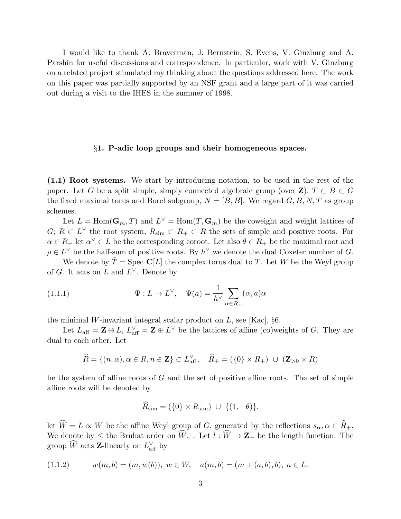I would like to thank A. Braverman, J. Bernstein, S. Evens, V. Ginzburg and A. Parshin for useful discussions and correspondence. In particular, work with V. Ginzburg on a related project stimulated my thinking about the questions addressed here. The work on this paper was partially supported by an NSF grant and a large part of it was carried out during a visit to the IHES in the summer of 1998.

## §1. P-adic loop groups and their homogeneous spaces.

(1.1) Root systems. We start by introducing notation, to be used in the rest of the paper. Let G be a split simple, simply connected algebraic group (over  $\mathbf{Z}$ ),  $T \subset B \subset G$ the fixed maximal torus and Borel subgroup,  $N = [B, B]$ . We regard  $G, B, N, T$  as group schemes.

Let  $L = \text{Hom}(\mathbf{G}_m, T)$  and  $L^{\vee} = \text{Hom}(T, \mathbf{G}_m)$  be the coweight and weight lattices of  $G; R \subset L^{\vee}$  the root system,  $R_{\text{sim}} \subset R_+ \subset R$  the sets of simple and positive roots. For  $\alpha \in R_+$  let  $\alpha^{\vee} \in L$  be the corresponding coroot. Let also  $\theta \in R_+$  be the maximal root and  $\rho \in L^{\vee}$  be the half-sum of positive roots. By  $h^{\vee}$  we denote the dual Coxeter number of G.

We denote by  $T = \text{Spec } \mathbb{C}[L]$  the complex torus dual to T. Let W be the Weyl group of G. It acts on L and  $L^{\vee}$ . Denote by

(1.1.1) 
$$
\Psi: L \to L^{\vee}, \quad \Psi(a) = \frac{1}{h^{\vee}} \sum_{\alpha \in R_{+}} (\alpha, a) \alpha
$$

the minimal W-invariant integral scalar product on  $L$ , see [Kac],  $\S6$ .

Let  $L_{\text{aff}} = \mathbf{Z} \oplus L$ ,  $L_{\text{aff}}^{\vee} = \mathbf{Z} \oplus L^{\vee}$  be the lattices of affine (co)weights of G. They are dual to each other. Let

$$
\widehat{R} = \{(n, \alpha), \alpha \in R, n \in \mathbf{Z}\} \subset L_{\text{aff}}^{\vee}, \quad \widehat{R}_{+} = (\{0\} \times R_{+}) \cup (\mathbf{Z}_{>0} \times R)
$$

be the system of affine roots of  $G$  and the set of positive affine roots. The set of simple affine roots will be denoted by

$$
\widehat{R}_{\text{sim}} = (\{0\} \times R_{\text{sim}}) \cup \{(1, -\theta)\}.
$$

let  $\widehat{W} = L \propto W$  be the affine Weyl group of G, generated by the reflections  $s_{\alpha}, \alpha \in \widehat{R}_+$ . We denote by  $\leq$  the Bruhat order on  $\widehat{W}$ . . Let  $l : \widehat{W} \to \mathbf{Z}_{+}$  be the length function. The group  $\widetilde{W}$  acts **Z**-linearly on  $L_{\text{aff}}^{\vee}$  by

$$
(1.1.2) \t w(m, b) = (m, w(b)), \ w \in W, \quad a(m, b) = (m + (a, b), b), \ a \in L.
$$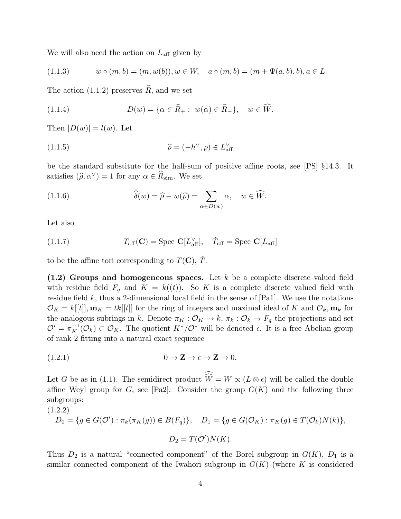We will also need the action on  $L_{\text{aff}}$  given by

$$
(1.1.3) \t w \circ (m, b) = (m, w(b)), w \in W, \t a \circ (m, b) = (m + \Psi(a, b), b), a \in L.
$$

The action (1.1.2) preserves  $\widehat{R}$ , and we set

(1.1.4) 
$$
D(w) = \{ \alpha \in \widehat{R}_+ : w(\alpha) \in \widehat{R}_- \}, \quad w \in \widehat{W}.
$$

Then  $|D(w)| = l(w)$ . Let

(1.1.5) 
$$
\widehat{\rho} = (-h^{\vee}, \rho) \in L_{\text{aff}}^{\vee}
$$

be the standard substitute for the half-sum of positive affine roots, see [PS] §14.3. It satisfies  $(\hat{\rho}, \alpha^{\vee}) = 1$  for any  $\alpha \in \hat{R}_{sim}$ . We set

(1.1.6) 
$$
\widehat{\delta}(w) = \widehat{\rho} - w(\widehat{\rho}) = \sum_{\alpha \in D(w)} \alpha, \quad w \in \widehat{W}.
$$

Let also

(1.1.7) 
$$
T_{\text{aff}}(\mathbf{C}) = \text{Spec } \mathbf{C}[L_{\text{aff}}^{\vee}], \quad \check{T}_{\text{aff}} = \text{Spec } \mathbf{C}[L_{\text{aff}}]
$$

to be the affine tori corresponding to  $T(\mathbf{C}), \tilde{T}$ .

 $(1.2)$  Groups and homogeneous spaces. Let k be a complete discrete valued field with residue field  $F_q$  and  $K = k((t))$ . So K is a complete discrete valued field with residue field  $k$ , thus a 2-dimensional local field in the sense of  $[Pa1]$ . We use the notations  $\mathcal{O}_K = k[[t]]$ ,  $\mathbf{m}_K = tk[[t]]$  for the ring of integers and maximal ideal of K and  $\mathcal{O}_k$ ,  $\mathbf{m}_k$  for the analogous subrings in k. Denote  $\pi_K : \mathcal{O}_K \to k$ ,  $\pi_k : \mathcal{O}_k \to F_q$  the projections and set  $\mathcal{O}' = \pi_K^{-1}(\mathcal{O}_k) \subset \mathcal{O}_K$ . The quotient  $K^*/\mathcal{O}^*$  will be denoted  $\epsilon$ . It is a free Abelian group of rank 2 fitting into a natural exact sequence

$$
(1.2.1) \t\t 0 \to \mathbf{Z} \to \epsilon \to \mathbf{Z} \to 0.
$$

Let G be as in (1.1). The semidirect product  $W = W \propto (L \otimes \epsilon)$  will be called the double affine Weyl group for G, see [Pa2]. Consider the group  $G(K)$  and the following three subgroups:

(1.2.2)  
\n
$$
D_0 = \{ g \in G(\mathcal{O}') : \pi_k(\pi_K(g)) \in B(F_q) \}, \quad D_1 = \{ g \in G(\mathcal{O}_K) : \pi_K(g) \in T(\mathcal{O}_k)N(k) \},
$$
\n
$$
D_2 = T(\mathcal{O}')N(K).
$$

Thus  $D_2$  is a natural "connected component" of the Borel subgroup in  $G(K)$ ,  $D_1$  is a similar connected component of the Iwahori subgroup in  $G(K)$  (where K is considered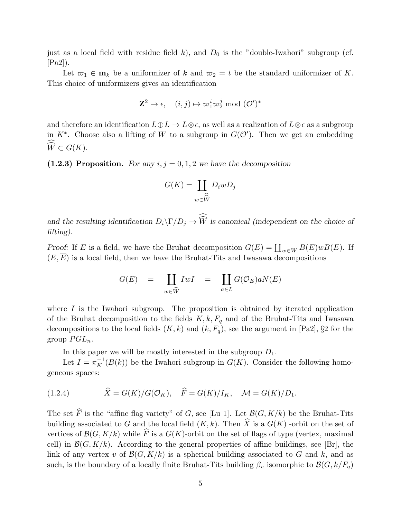just as a local field with residue field k), and  $D_0$  is the "double-Iwahori" subgroup (cf. [Pa2]).

Let  $\overline{\omega}_1 \in \mathbf{m}_k$  be a uniformizer of k and  $\overline{\omega}_2 = t$  be the standard uniformizer of K. This choice of uniformizers gives an identification

$$
\mathbf{Z}^2 \to \epsilon, \quad (i,j) \mapsto \varpi_1^i \varpi_2^j \bmod (\mathcal{O}')^*
$$

and therefore an identification  $L \oplus L \to L \otimes \epsilon$ , as well as a realization of  $L \otimes \epsilon$  as a subgroup in  $K^*$ . Choose also a lifting of W to a subgroup in  $G(\mathcal{O}')$ . Then we get an embedding  $W\subset G(K).$ 

(1.2.3) Proposition. For any  $i, j = 0, 1, 2$  we have the decomposition

$$
G(K) = \coprod_{w \in \widehat{\widehat{W}}} D_i w D_j
$$

and the resulting identification  $D_i \backslash \Gamma/D_j \to W$  is canonical (independent on the choice of lifting).

Proof: If E is a field, we have the Bruhat decomposition  $G(E) = \coprod_{w \in W} B(E)wB(E)$ . If  $(E, E)$  is a local field, then we have the Bruhat-Tits and Iwasawa decompositions

$$
G(E) = \coprod_{w \in \widehat{W}} IwI = \coprod_{a \in L} G(\mathcal{O}_E)aN(E)
$$

where  $I$  is the Iwahori subgroup. The proposition is obtained by iterated application of the Bruhat decomposition to the fields  $K, k, F_q$  and of the Bruhat-Tits and Iwasawa decompositions to the local fields  $(K, k)$  and  $(k, F_q)$ , see the argument in [Pa2], §2 for the group  $PGL_n$ .

In this paper we will be mostly interested in the subgroup  $D_1$ .

Let  $I = \pi_K^{-1}(B(k))$  be the Iwahori subgroup in  $G(K)$ . Consider the following homogeneous spaces:

(1.2.4) 
$$
\widehat{X} = G(K)/G(\mathcal{O}_K), \quad \widehat{F} = G(K)/I_K, \quad \mathcal{M} = G(K)/D_1.
$$

The set  $\widehat{F}$  is the "affine flag variety" of G, see [Lu 1]. Let  $\mathcal{B}(G, K/k)$  be the Bruhat-Tits building associated to G and the local field  $(K, k)$ . Then  $\widehat{X}$  is a  $G(K)$  -orbit on the set of vertices of  $\mathcal{B}(G, K/k)$  while  $\widehat{F}$  is a  $G(K)$ -orbit on the set of flags of type (vertex, maximal cell) in  $\mathcal{B}(G, K/k)$ . According to the general properties of affine buildings, see [Br], the link of any vertex v of  $\mathcal{B}(G, K/k)$  is a spherical building associated to G and k, and as such, is the boundary of a locally finite Bruhat-Tits building  $\beta_v$  isomorphic to  $\mathcal{B}(G, k/F_q)$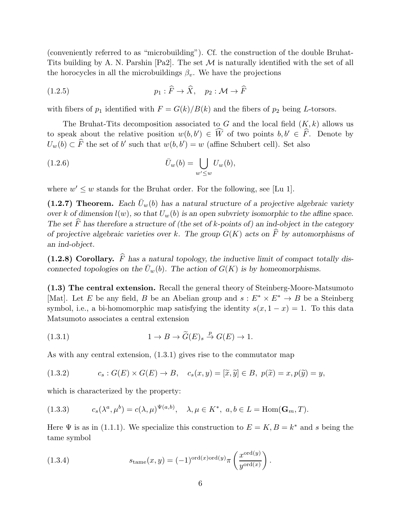(conveniently referred to as "microbuilding"). Cf. the construction of the double Bruhat-Tits building by A. N. Parshin [Pa2]. The set  $\mathcal M$  is naturally identified with the set of all the horocycles in all the microbuildings  $\beta_v$ . We have the projections

$$
(1.2.5) \t\t\t p_1 : \widehat{F} \to \widehat{X}, \quad p_2 : \mathcal{M} \to \widehat{F}
$$

with fibers of  $p_1$  identified with  $F = G(k)/B(k)$  and the fibers of  $p_2$  being L-torsors.

The Bruhat-Tits decomposition associated to G and the local field  $(K, k)$  allows us to speak about the relative position  $w(b, b') \in \widehat{W}$  of two points  $b, b' \in \widehat{F}$ . Denote by  $U_w(b) \subset \widehat{F}$  the set of b' such that  $w(b, b') = w$  (affine Schubert cell). Set also

(1.2.6) 
$$
\overline{U}_w(b) = \bigcup_{w' \leq w} U_w(b),
$$

where  $w' \leq w$  stands for the Bruhat order. For the following, see [Lu 1].

(1.2.7) Theorem. Each  $\bar{U}_w(b)$  has a natural structure of a projective algebraic variety over k of dimension  $l(w)$ , so that  $U_w(b)$  is an open subvriety isomorphic to the affine space. The set  $\widehat{F}$  has therefore a structure of (the set of k-points of) an ind-object in the category of projective algebraic varieties over k. The group  $G(K)$  acts on  $\widehat{F}$  by automorphisms of an ind-object.

(1.2.8) Corollary.  $\hat{F}$  has a natural topology, the inductive limit of compact totally disconnected topologies on the  $\bar{U}_w(b)$ . The action of  $G(K)$  is by homeomorphisms.

(1.3) The central extension. Recall the general theory of Steinberg-Moore-Matsumoto [Mat]. Let E be any field, B be an Abelian group and  $s: E^* \times E^* \to B$  be a Steinberg symbol, i.e., a bi-homomorphic map satisfying the identity  $s(x, 1 - x) = 1$ . To this data Matsumoto associates a central extension

(1.3.1) 
$$
1 \to B \to \widetilde{G}(E)_s \stackrel{p}{\to} G(E) \to 1.
$$

As with any central extension, (1.3.1) gives rise to the commutator map

(1.3.2) 
$$
c_s: G(E) \times G(E) \to B, \quad c_s(x, y) = [\tilde{x}, \tilde{y}] \in B, \ p(\tilde{x}) = x, p(\tilde{y}) = y,
$$

which is characterized by the property:

(1.3.3) 
$$
c_s(\lambda^a, \mu^b) = c(\lambda, \mu)^{\Psi(a, b)}, \quad \lambda, \mu \in K^*, \ a, b \in L = \text{Hom}(\mathbf{G}_m, T).
$$

Here  $\Psi$  is as in (1.1.1). We specialize this construction to  $E = K, B = k^*$  and s being the tame symbol

(1.3.4) 
$$
s_{\text{tame}}(x,y) = (-1)^{\text{ord}(x)\text{ord}(y)} \pi \left(\frac{x^{\text{ord}(y)}}{y^{\text{ord}(x)}}\right).
$$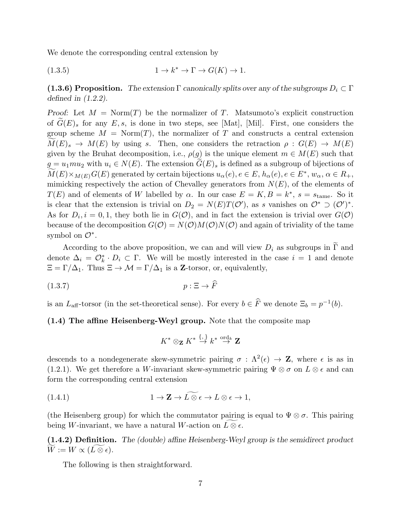We denote the corresponding central extension by

(1.3.5) 
$$
1 \to k^* \to \Gamma \to G(K) \to 1.
$$

(1.3.6) Proposition. The extension  $\Gamma$  canonically splits over any of the subgroups  $D_i \subset \Gamma$ defined in (1.2.2).

Proof: Let  $M = \text{Norm}(T)$  be the normalizer of T. Matsumoto's explicit construction of  $G(E)$ , for any E, s, is done in two steps, see [Mat], [Mil]. First, one considers the group scheme  $M = \text{Norm}(T)$ , the normalizer of T and constructs a central extension  $M(E)_{s} \to M(E)$  by using s. Then, one considers the retraction  $\rho: G(E) \to M(E)$ given by the Bruhat decomposition, i.e.,  $\rho(g)$  is the unique element  $m \in M(E)$  such that  $g = u_1 m u_2$  with  $u_i \in N(E)$ . The extension  $G(E)_s$  is defined as a subgroup of bijections of  $M(E) \times_{M(E)} G(E)$  generated by certain bijections  $u_{\alpha}(e), e \in E, h_{\alpha}(e), e \in E^*, w_{\alpha}, \alpha \in R_+,$ mimicking respectively the action of Chevalley generators from  $N(E)$ , of the elements of  $T(E)$  and of elements of W labelled by  $\alpha$ . In our case  $E = K, B = k^*, s = s_{tame}$ . So it is clear that the extension is trivial on  $D_2 = N(E)T(O')$ , as s vanishes on  $O^* \supset (O')^*$ . As for  $D_i$ ,  $i = 0, 1$ , they both lie in  $G(\mathcal{O})$ , and in fact the extension is trivial over  $G(\mathcal{O})$ because of the decomposition  $G(\mathcal{O}) = N(\mathcal{O})M(\mathcal{O})N(\mathcal{O})$  and again of triviality of the tame symbol on  $\mathcal{O}^*$ .

According to the above proposition, we can and will view  $D_i$  as subgroups in  $\Gamma$  and denote  $\Delta_i = \mathcal{O}_k^* \cdot D_i \subset \Gamma$ . We will be mostly interested in the case  $i = 1$  and denote  $\Xi = \Gamma/\Delta_1$ . Thus  $\Xi \to \mathcal{M} = \Gamma/\Delta_1$  is a **Z**-torsor, or, equivalently,

$$
(1.3.7) \t\t\t p: \Xi \to \widehat{F}
$$

is an  $L_{\text{aff}}$ -torsor (in the set-theoretical sense). For every  $b \in \overline{F}$  we denote  $\Xi_b = p^{-1}(b)$ .

(1.4) The affine Heisenberg-Weyl group. Note that the composite map

$$
K^* \otimes_{\mathbf{Z}} K^* \stackrel{\{,\}}{\to} k^* \stackrel{\text{ord}_k}{\to} \mathbf{Z}
$$

descends to a nondegenerate skew-symmetric pairing  $\sigma : \Lambda^2(\epsilon) \to \mathbb{Z}$ , where  $\epsilon$  is as in (1.2.1). We get therefore a W-invariant skew-symmetric pairing  $\Psi \otimes \sigma$  on  $L \otimes \epsilon$  and can form the corresponding central extension

(1.4.1) 
$$
1 \to \mathbf{Z} \to L \widetilde{\otimes} \epsilon \to L \otimes \epsilon \to 1,
$$

(the Heisenberg group) for which the commutator pairing is equal to  $\Psi \otimes \sigma$ . This pairing being W-invariant, we have a natural W-action on  $L\otimes \epsilon$ .

(1.4.2) Definition. The (double) affine Heisenberg-Weyl group is the semidirect product  $W := W \propto (L \otimes \epsilon).$ 

The following is then straightforward.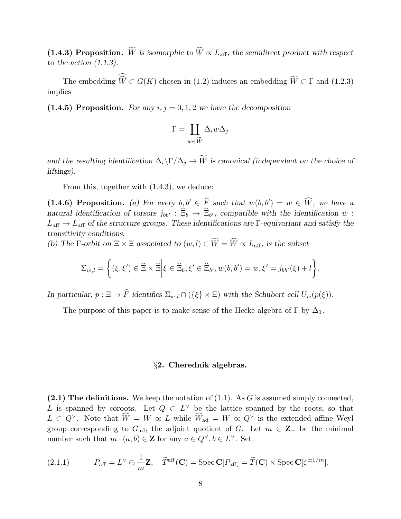(1.4.3) Proposition. We is isomorphic to  $\widehat{W} \propto L_{\text{aff}}$ , the semidirect product with respect to the action  $(1.1.3)$ .

The embedding  $W \subset G(K)$  chosen in (1.2) induces an embedding  $W \subset \Gamma$  and (1.2.3) implies

(1.4.5) Proposition. For any  $i, j = 0, 1, 2$  we have the decomposition

$$
\Gamma = \coprod_{w \in \widetilde{W}} \Delta_i w \Delta_j
$$

and the resulting identification  $\Delta_i\backslash\Gamma/\Delta_j\to\widetilde{W}$  is canonical (independent on the choice of liftings).

From this, together with (1.4.3), we deduce:

(1.4.6) Proposition. (a) For every  $b, b' \in \widehat{F}$  such that  $w(b, b') = w \in \widehat{W}$ , we have a natural identification of torsors  $j_{bb'} : \Xi_b \to \Xi_{b'}$ , compatible with the identification w :  $L_{\text{aff}} \to L_{\text{aff}}$  of the structure groups. These identifications are Γ-equivariant and satisfy the transitivity conditions.

(b) The  $\Gamma$ -orbit on  $\Xi \times \Xi$  associated to  $(w, l) \in \widetilde{W} = \widehat{W} \propto L_{\text{aff}}$ , is the subset

$$
\Sigma_{w,l} = \left\{ (\xi,\xi') \in \widehat{\Xi} \times \widehat{\Xi} \middle| \xi \in \widehat{\Xi}_b, \xi' \in \widehat{\Xi}_{b'}, w(b,b') = w, \xi' = j_{bb'}(\xi) + l \right\}.
$$

In particular,  $p : \Xi \to \widehat{F}$  identifies  $\Sigma_{w,l} \cap (\{\xi\} \times \Xi)$  with the Schubert cell  $U_w(p(\xi))$ .

The purpose of this paper is to make sense of the Hecke algebra of  $\Gamma$  by  $\Delta_1$ .

#### §2. Cherednik algebras.

 $(2.1)$  The definitions. We keep the notation of  $(1.1)$ . As G is assumed simply connected, L is spanned by coroots. Let  $Q \subset L^{\vee}$  be the lattice spanned by the roots, so that  $L \subset Q^{\vee}$ . Note that  $\widehat{W} = W \propto L$  while  $\widehat{W}_{ad} = W \propto Q^{\vee}$  is the extended affine Weyl group corresponding to  $G_{ad}$ , the adjoint quotient of G. Let  $m \in \mathbb{Z}_+$  be the minimal number such that  $m \cdot (a, b) \in \mathbb{Z}$  for any  $a \in Q^{\vee}, b \in L^{\vee}$ . Set

(2.1.1) 
$$
P_{\text{aff}} = L^{\vee} \oplus \frac{1}{m} \mathbf{Z}, \quad \widetilde{T}^{\text{aff}}(\mathbf{C}) = \text{Spec } \mathbf{C}[P_{\text{aff}}] = \widetilde{T}(\mathbf{C}) \times \text{Spec } \mathbf{C}[\zeta^{\pm 1/m}].
$$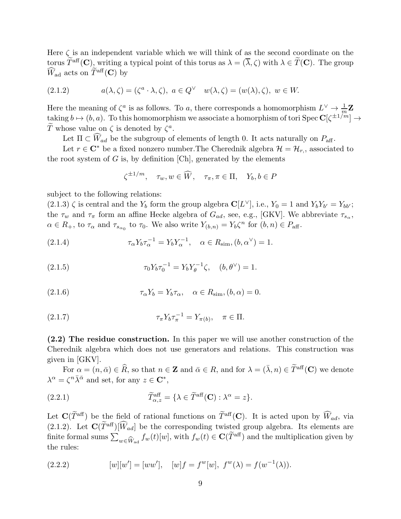Here  $\zeta$  is an independent variable which we will think of as the second coordinate on the torus  $\widetilde{T}^{\text{aff}}(\mathbf{C})$ , writing a typical point of this torus as  $\lambda = (\overline{\lambda}, \zeta)$  with  $\lambda \in \widetilde{T}(\mathbf{C})$ . The group  $\widehat{W}_{\text{ad}}$  acts on  $\widetilde{T}^{\text{aff}}(\mathbf{C})$  by

(2.1.2) 
$$
a(\lambda, \zeta) = (\zeta^a \cdot \lambda, \zeta), \ a \in Q^{\vee} \quad w(\lambda, \zeta) = (w(\lambda), \zeta), \ w \in W.
$$

Here the meaning of  $\zeta^a$  is as follows. To a, there corresponds a homomorphism  $L^{\vee} \to \frac{1}{m}\mathbf{Z}$ taking  $b \mapsto (b, a)$ . To this homomorphism we associate a homorphism of tori Spec  $\mathbf{C}[\zeta^{\pm 1/m}] \to$ T whose value on  $\zeta$  is denoted by  $\zeta^a$ .

Let  $\Pi \subset \widehat{W}_{ad}$  be the subgroup of elements of length 0. It acts naturally on  $P_{\text{aff}}$ .

Let  $r \in \mathbb{C}^*$  be a fixed nonzero number. The Cherednik algebra  $\mathcal{H} = \mathcal{H}_r$ , associated to the root system of  $G$  is, by definition [Ch], generated by the elements

$$
\zeta^{\pm 1/m}, \quad \tau_w, w \in \widehat{W}, \quad \tau_\pi, \pi \in \Pi, \quad Y_b, b \in P
$$

subject to the following relations:

 $(2.1.3) \zeta$  is central and the Y<sub>b</sub> form the group algebra  $\mathbb{C}[L^{\vee}]$ , i.e., Y<sub>0</sub> = 1 and Y<sub>b</sub>Y<sub>b'</sub> = Y<sub>bb'</sub>; the  $\tau_w$  and  $\tau_{\pi}$  form an affine Hecke algebra of  $G_{ad}$ , see, e.g., [GKV]. We abbreviate  $\tau_{s_{\alpha}}$ ,  $\alpha \in R_+$ , to  $\tau_\alpha$  and  $\tau_{s_{\alpha_0}}$  to  $\tau_0$ . We also write  $Y_{(b,n)} = Y_b \zeta^n$  for  $(b,n) \in P_{\text{aff}}$ .

(2.1.4) 
$$
\tau_{\alpha} Y_b \tau_{\alpha}^{-1} = Y_b Y_{\alpha}^{-1}, \quad \alpha \in R_{\text{sim}}, (b, \alpha^{\vee}) = 1.
$$

(2.1.5) 
$$
\tau_0 Y_b \tau_0^{-1} = Y_b Y_\theta^{-1} \zeta, \quad (b, \theta^\vee) = 1.
$$

(2.1.6) 
$$
\tau_{\alpha} Y_b = Y_b \tau_{\alpha}, \quad \alpha \in R_{\text{sim}}, (b, \alpha) = 0.
$$

(2.1.7) 
$$
\tau_{\pi} Y_b \tau_{\pi}^{-1} = Y_{\pi(b)}, \quad \pi \in \Pi.
$$

(2.2) The residue construction. In this paper we will use another construction of the Cherednik algebra which does not use generators and relations. This construction was given in [GKV].

For  $\alpha = (n, \bar{\alpha}) \in \widehat{R}$ , so that  $n \in \mathbb{Z}$  and  $\bar{\alpha} \in R$ , and for  $\lambda = (\bar{\lambda}, n) \in \widetilde{T}^{\text{aff}}(\mathbb{C})$  we denote  $\lambda^{\alpha} = \zeta^{n} \bar{\lambda}^{\bar{\alpha}}$  and set, for any  $z \in \mathbb{C}^{*}$ ,

(2.2.1) 
$$
\widetilde{T}_{\alpha,z}^{\text{aff}} = \{ \lambda \in \widetilde{T}^{\text{aff}}(\mathbf{C}) : \lambda^{\alpha} = z \}.
$$

Let  $\mathbf{C}(\widetilde{T}^{\text{aff}})$  be the field of rational functions on  $\widetilde{T}^{\text{aff}}(\mathbf{C})$ . It is acted upon by  $\widehat{W}_{ad}$ , via (2.1.2). Let  $\mathbf{C}(\widetilde{T}^{\text{aff}})[\widehat{W}_{ad}]$  be the corresponding twisted group algebra. Its elements are finite formal sums  $\sum$  $w \in \widehat{W}_{ad}$   $f_w(t)[w]$ , with  $f_w(t) \in \mathbf{C}(\widehat{T}^{aff})$  and the multiplication given by the rules:

(2.2.2) 
$$
[w][w'] = [ww'], \quad [w]f = f^{w}[w], \ f^{w}(\lambda) = f(w^{-1}(\lambda)).
$$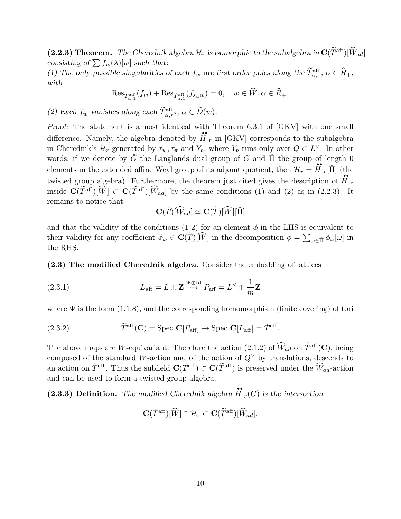(2.2.3) Theorem. The Cherednik algebra  $\mathcal{H}_r$  is isomorphic to the subalgebra in  $\mathbf{C}(\widetilde{T}^{\text{aff}})[\widehat{W}_{ad}]$ consisting of  $\sum f_w(\lambda)[w]$  such that:

(1) The only possible singularities of each  $f_w$  are first order poles along the  $\tilde{T}_{\alpha,1}^{\text{aff}}, \alpha \in \tilde{R}_+$ , with

$$
\operatorname{Res}_{\check{T}_{\alpha,1}^{\operatorname{aff}}}(f_w) + \operatorname{Res}_{\check{T}_{\alpha,1}^{\operatorname{aff}}}(f_{s_\alpha w}) = 0, \quad w \in \widehat{W}, \alpha \in \widehat{R}_+.
$$

(2) Each  $f_w$  vanishes along each  $\tilde{T}_{\alpha,r^2}^{\text{aff}}, \alpha \in \tilde{D}(w)$ .

Proof: The statement is almost identical with Theorem 6.3.1 of [GKV] with one small difference. Namely, the algebra denoted by  $\ddot{H}_r$  in [GKV] corresponds to the subalgebra in Cherednik's  $\mathcal{H}_r$  generated by  $\tau_w, \tau_\pi$  and  $Y_b$ , where  $Y_b$  runs only over  $Q \subset L^{\vee}$ . In other words, if we denote by  $\check{G}$  the Langlands dual group of G and  $\check{\Pi}$  the group of length 0 elements in the extended affine Weyl group of its adjoint quotient, then  $\mathcal{H}_r = \mathbf{H}_r[\tilde{\Pi}]$  (the twisted group algebra). Furthermore, the theorem just cited gives the description of  $\ddot{H}$ r inside  $\mathbf{C}(\widetilde{T}^{\text{aff}})[\widehat{W}] \subset \mathbf{C}(\widetilde{T}^{\text{aff}})[\widehat{W}_{ad}]$  by the same conditions (1) and (2) as in (2.2.3). It remains to notice that

$$
\mathbf{C}(\widetilde{T})[\widehat{W}_{ad}] \simeq \mathbf{C}(\widetilde{T})[\widehat{W}][\check{\Pi}]
$$

and that the validity of the conditions (1-2) for an element  $\phi$  in the LHS is equivalent to their validity for any coefficient  $\phi_\omega \in \mathbf{C}(\widetilde{T})[\widehat{W}]$  in the decomposition  $\phi = \sum_{\omega \in \widetilde{\Pi}} \phi_\omega[\omega]$  in the RHS.

(2.3) The modified Cherednik algebra. Consider the embedding of lattices

(2.3.1) 
$$
L_{\text{aff}} = L \oplus \mathbf{Z} \stackrel{\Psi \oplus \text{Id}}{\hookrightarrow} P_{\text{aff}} = L^{\vee} \oplus \frac{1}{m} \mathbf{Z}
$$

where  $\Psi$  is the form (1.1.8), and the corresponding homomorphism (finite covering) of tori

(2.3.2) 
$$
\widetilde{T}^{\text{aff}}(\mathbf{C}) = \text{Spec } \mathbf{C}[P_{\text{aff}}] \to \text{Spec } \mathbf{C}[L_{\text{aff}}] = \check{T}^{\text{aff}}.
$$

The above maps are W-equivariant. Therefore the action (2.1.2) of  $\widehat{W}_{ad}$  on  $\widetilde{T}^{aff}(\mathbf{C})$ , being composed of the standard W-action and of the action of  $Q^{\vee}$  by translations, descends to an action on  $\check{T}$ <sup>aff</sup>. Thus the subfield  $\mathbf{C}(\check{T}^{\text{aff}}) \subset \mathbf{C}(\widetilde{T}^{\text{aff}})$  is preserved under the  $\widehat{W}_{ad}$ -action and can be used to form a twisted group algebra.

(2.3.3) Definition. The modified Cherednik algebra  $\ddot{H}_r(G)$  is the intersection

$$
\mathbf{C}(\check{T}^{\text{aff}})[\widehat{W}] \cap \mathcal{H}_r \subset \mathbf{C}(\widetilde{T}^{\text{aff}})[\widehat{W}_{ad}].
$$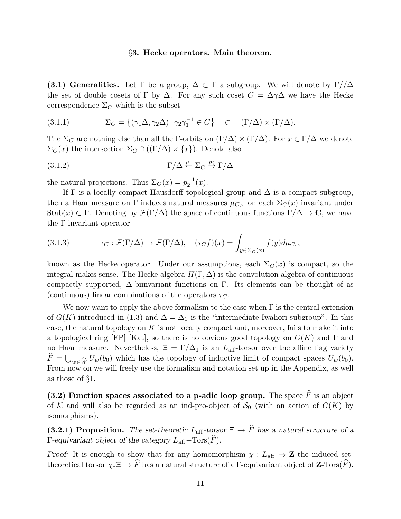#### §3. Hecke operators. Main theorem.

(3.1) Generalities. Let  $\Gamma$  be a group,  $\Delta \subset \Gamma$  a subgroup. We will denote by  $\Gamma/\Delta$ the set of double cosets of Γ by  $\Delta$ . For any such coset  $C = \Delta \gamma \Delta$  we have the Hecke correspondence  $\Sigma_C$  which is the subset

(3.1.1) 
$$
\Sigma_C = \{ (\gamma_1 \Delta, \gamma_2 \Delta) | \gamma_2 \gamma_1^{-1} \in C \} \quad \subset \quad (\Gamma/\Delta) \times (\Gamma/\Delta).
$$

The  $\Sigma_C$  are nothing else than all the Γ-orbits on  $(\Gamma/\Delta) \times (\Gamma/\Delta)$ . For  $x \in \Gamma/\Delta$  we denote  $\Sigma_C(x)$  the intersection  $\Sigma_C \cap ((\Gamma/\Delta) \times \{x\})$ . Denote also

(3.1.2) 
$$
\Gamma/\Delta \stackrel{p_1}{\leftarrow} \Sigma_C \stackrel{p_2}{\rightarrow} \Gamma/\Delta
$$

the natural projections. Thus  $\Sigma_C(x) = p_2^{-1}$  $\frac{1}{2}^{1}(x).$ 

If  $\Gamma$  is a locally compact Hausdorff topological group and  $\Delta$  is a compact subgroup, then a Haar measure on Γ induces natural measures  $\mu_{C,x}$  on each  $\Sigma_C(x)$  invariant under Stab(x) ⊂ Γ. Denoting by  $\mathcal{F}(\Gamma/\Delta)$  the space of continuous functions  $\Gamma/\Delta \to \mathbf{C}$ , we have the Γ-invariant operator

(3.1.3) 
$$
\tau_C : \mathcal{F}(\Gamma/\Delta) \to \mathcal{F}(\Gamma/\Delta), \quad (\tau_C f)(x) = \int_{y \in \Sigma_C(x)} f(y) d\mu_{C,x}
$$

known as the Hecke operator. Under our assumptions, each  $\Sigma_C(x)$  is compact, so the integral makes sense. The Hecke algebra  $H(\Gamma, \Delta)$  is the convolution algebra of continuous compactly supported, ∆-biinvariant functions on Γ. Its elements can be thought of as (continuous) linear combinations of the operators  $\tau_C$ .

We now want to apply the above formalism to the case when  $\Gamma$  is the central extension of  $G(K)$  introduced in (1.3) and  $\Delta = \Delta_1$  is the "intermediate Iwahori subgroup". In this case, the natural topology on  $K$  is not locally compact and, moreover, fails to make it into a topological ring [FP] [Kat], so there is no obvious good topology on  $G(K)$  and  $\Gamma$  and no Haar measure. Nevertheless,  $\Xi = \Gamma/\Delta_1$  is an  $L_{\text{aff}}$ -torsor over the affine flag variety  $\widehat{F} = \bigcup_{w \in \widehat{W}} \bar{U}_w(b_0)$  which has the topology of inductive limit of compact spaces  $\bar{U}_w(b_0)$ . From now on we will freely use the formalism and notation set up in the Appendix, as well as those of §1.

(3.2) Function spaces associated to a p-adic loop group. The space  $\widehat{F}$  is an object of K and will also be regarded as an ind-pro-object of  $\mathcal{S}_0$  (with an action of  $G(K)$  by isomorphisms).

(3.2.1) Proposition. The set-theoretic  $L_{\text{aff}}$ -torsor  $\Xi \to \widehat{F}$  has a natural structure of a Γ-equivariant object of the category  $L_{\text{aff}}$  – Tors( $\widehat{F}$ ).

Proof: It is enough to show that for any homomorphism  $\chi : L_{\text{aff}} \to \mathbb{Z}$  the induced settheoretical torsor  $\chi_* \Xi \to \widehat{F}$  has a natural structure of a Γ-equivariant object of Z-Tors( $\widehat{F}$ ).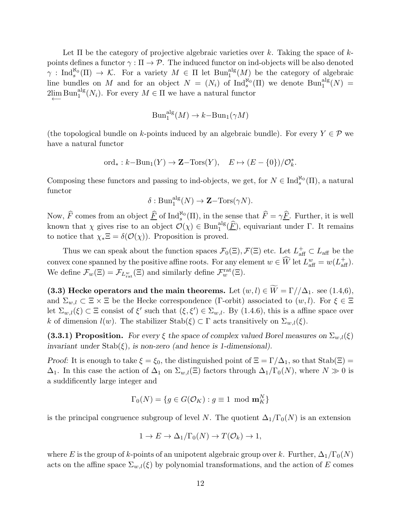Let  $\Pi$  be the category of projective algebraic varieties over k. Taking the space of kpoints defines a functor  $\gamma : \Pi \to \mathcal{P}$ . The induced functor on ind-objects will be also denoted  $\gamma: \text{Ind}_{s}^{\aleph_0}(\Pi) \to \mathcal{K}$ . For a variety  $M \in \Pi$  let  $\text{Bun}_{1}^{\text{alg}}(M)$  be the category of algebraic line bundles on M and for an object  $N = (N_i)$  of  $\text{Ind}_{s}^{\aleph_0}(\Pi)$  we denote  $\text{Bun}_1^{\text{alg}}(N) =$  $2\lim_{n \to \infty} \text{Bun}_1^{\text{alg}}(N_i)$ . For every  $M \in \Pi$  we have a natural functor

$$
\text{Bun}_1^{\text{alg}}(M) \to k - \text{Bun}_1(\gamma M)
$$

(the topological bundle on k-points induced by an algebraic bundle). For every  $Y \in \mathcal{P}$  we have a natural functor

$$
\text{ord}_{*}: k-\text{Bun}_{1}(Y) \to \mathbf{Z}-\text{Tors}(Y), \quad E \mapsto (E - \{0\})/\mathcal{O}_{k}^{*}.
$$

Composing these functors and passing to ind-objects, we get, for  $N \in \text{Ind}_{s}^{\aleph_0}(\Pi)$ , a natural functor

$$
\delta: \mathrm{Bun}_1^{\mathrm{alg}}(N) \to \mathbf{Z} - \mathrm{Tors}(\gamma N).
$$

Now,  $\widehat{F}$  comes from an object  $\underline{\widehat{F}}$  of Ind<sup> $\aleph_0$ </sup>(II), in the sense that  $\widehat{F} = \gamma \underline{\widehat{F}}$ . Further, it is well known that  $\chi$  gives rise to an object  $\mathcal{O}(\chi) \in \text{Bun}_1^{\text{alg}}(\widehat{F})$ , equivariant under  $\Gamma$ . It remains to notice that  $\chi_* \Xi = \delta(\mathcal{O}(\chi))$ . Proposition is proved.

Thus we can speak about the function spaces  $\mathcal{F}_0(\Xi)$ ,  $\mathcal{F}(\Xi)$  etc. Let  $L^+_{\text{aff}} \subset L_{\text{aff}}$  be the convex cone spanned by the positive affine roots. For any element  $w \in \widehat{W}$  let  $L^w_{\text{aff}} = w(L^+_{\text{aff}})$ . We define  $\mathcal{F}_w(\Xi) = \mathcal{F}_{L_{\text{rat}}^w}(\Xi)$  and similarly define  $\mathcal{F}_w^{\text{rat}}(\Xi)$ .

(3.3) Hecke operators and the main theorems. Let  $(w, l) \in \widetilde{W} = \Gamma/\Lambda_1$ . see (1.4,6), and  $\Sigma_{w,l} \subset \Xi \times \Xi$  be the Hecke correspondence (Γ-orbit) associated to  $(w, l)$ . For  $\xi \in \Xi$ let  $\Sigma_{w,l}(\xi) \subset \Xi$  consist of  $\xi'$  such that  $(\xi, \xi') \in \Sigma_{w,l}$ . By (1.4.6), this is a affine space over k of dimension  $l(w)$ . The stabilizer  $\text{Stab}(\xi) \subset \Gamma$  acts transitively on  $\Sigma_{w,l}(\xi)$ .

(3.3.1) Proposition. For every  $\xi$  the space of complex valued Borel measures on  $\Sigma_{w,l}(\xi)$ invariant under  $\text{Stab}(\xi)$ , is non-zero (and hence is 1-dimensional).

Proof: It is enough to take  $\xi = \xi_0$ , the distinguished point of  $\Xi = \Gamma/\Delta_1$ , so that  $\text{Stab}(\Xi) =$  $\Delta_1$ . In this case the action of  $\Delta_1$  on  $\Sigma_{w,l}(\Xi)$  factors through  $\Delta_1/\Gamma_0(N)$ , where  $N \gg 0$  is a suddificently large integer and

$$
\Gamma_0(N) = \{ g \in G(\mathcal{O}_K) : g \equiv 1 \mod \mathbf{m}_K^N \}
$$

is the principal congruence subgroup of level N. The quotient  $\Delta_1/\Gamma_0(N)$  is an extension

$$
1 \to E \to \Delta_1/\Gamma_0(N) \to T(\mathcal{O}_k) \to 1,
$$

where E is the group of k-points of an unipotent algebraic group over k. Further,  $\Delta_1/\Gamma_0(N)$ acts on the affine space  $\Sigma_{w,l}(\xi)$  by polynomial transformations, and the action of E comes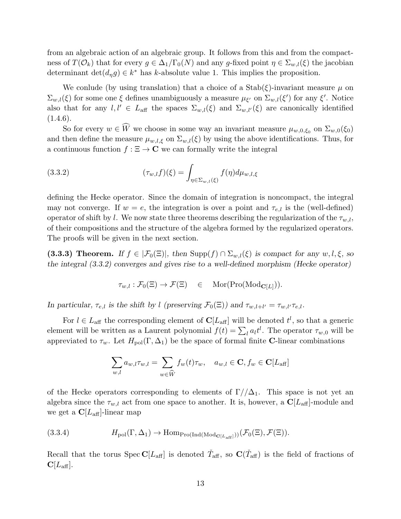from an algebraic action of an algebraic group. It follows from this and from the compactness of  $T(\mathcal{O}_k)$  that for every  $g \in \Delta_1/\Gamma_0(N)$  and any g-fixed point  $\eta \in \Sigma_{w,l}(\xi)$  the jacobian determinant  $\det(d_\eta g) \in k^*$  has k-absolute value 1. This implies the proposition.

We conlude (by using translation) that a choice of a  $Stab(\xi)$ -invariant measure  $\mu$  on  $\Sigma_{w,l}(\xi)$  for some one  $\xi$  defines unambiguously a measure  $\mu_{\xi'}$  on  $\Sigma_{w,l}(\xi')$  for any  $\xi'$ . Notice also that for any  $l, l' \in L_{\text{aff}}$  the spaces  $\Sigma_{w,l}(\xi)$  and  $\Sigma_{w,l'}(\xi)$  are canonically identified  $(1.4.6).$ 

So for every  $w \in W$  we choose in some way an invariant measure  $\mu_{w,0,\xi_0}$  on  $\Sigma_{w,0}(\xi_0)$ and then define the measure  $\mu_{w,l,\xi}$  on  $\Sigma_{w,l}(\xi)$  by using the above identifications. Thus, for a continuous function  $f : \Xi \to \mathbb{C}$  we can formally write the integral

(3.3.2) 
$$
(\tau_{w,l}f)(\xi) = \int_{\eta \in \Sigma_{w,l}(\xi)} f(\eta) d\mu_{w,l,\xi}
$$

defining the Hecke operator. Since the domain of integration is noncompact, the integral may not converge. If  $w = e$ , the integration is over a point and  $\tau_{e,l}$  is the (well-defined) operator of shift by l. We now state three theorems describing the regularization of the  $\tau_{w,l}$ , of their compositions and the structure of the algebra formed by the regularized operators. The proofs will be given in the next section.

(3.3.3) Theorem. If  $f \in |\mathcal{F}_0(\Xi)|$ , then  $\text{Supp}(f) \cap \Sigma_{w,l}(\xi)$  is compact for any  $w, l, \xi$ , so the integral (3.3.2) converges and gives rise to a well-defined morphism (Hecke operator)

$$
\tau_{w,l} : \mathcal{F}_0(\Xi) \to \mathcal{F}(\Xi) \quad \in \quad \text{Mor}(\text{Pro}(\text{Mod}_{\mathbf{C}[L]})).
$$

In particular,  $\tau_{e,l}$  is the shift by l (preserving  $\mathcal{F}_0(\Xi)$ ) and  $\tau_{w,l+l'} = \tau_{w,l'} \tau_{e,l}$ .

For  $l \in L_{\text{aff}}$  the corresponding element of  $\mathbb{C}[L_{\text{aff}}]$  will be denoted  $t^l$ , so that a generic element will be written as a Laurent polynomial  $f(t) = \sum_l a_l t^l$ . The operator  $\tau_{w,0}$  will be appreviated to  $\tau_w$ . Let  $H_{pol}(\Gamma, \Delta_1)$  be the space of formal finite **C**-linear combinations

$$
\sum_{w,l} a_{w,l} \tau_{w,l} = \sum_{w \in \widehat{W}} f_w(t) \tau_w, \quad a_{w,l} \in \mathbf{C}, f_w \in \mathbf{C}[L_{\text{aff}}]
$$

of the Hecke operators corresponding to elements of  $\Gamma//\Delta_1$ . This space is not yet an algebra since the  $\tau_{w,l}$  act from one space to another. It is, however, a  $\mathbb{C}[L_{\text{aff}}]$ -module and we get a  $C[L_{\text{aff}}]$ -linear map

(3.3.4) 
$$
H_{\text{pol}}(\Gamma, \Delta_1) \to \text{Hom}_{\text{Pro}(\text{Ind}(\text{Mod}_{\mathbf{C}[L_{\text{aff}}]}))}(\mathcal{F}_0(\Xi), \mathcal{F}(\Xi)).
$$

Recall that the torus Spec  $C[L_{\text{aff}}]$  is denoted  $\check{T}_{\text{aff}}$ , so  $C(\check{T}_{\text{aff}})$  is the field of fractions of  $\mathbf{C}[L_{\text{aff}}].$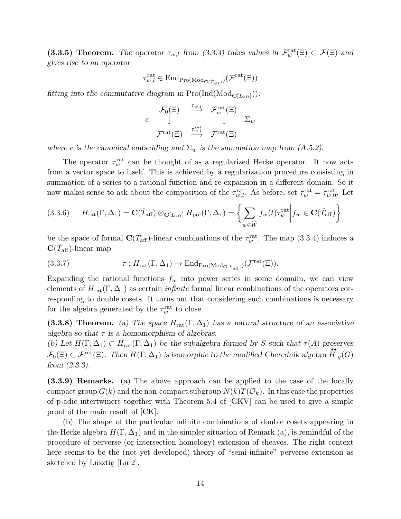(3.3.5) Theorem. The operator  $\tau_{w,l}$  from (3.3.3) takes values in  $\mathcal{F}_w^{\text{rat}}(\Xi) \subset \mathcal{F}(\Xi)$  and gives rise to an operator

$$
\tau_{w,l}^{\mathrm{rat}} \in \mathrm{End}_{\mathrm{Pro}(\mathrm{Mod}_{\mathbf{C}(\tilde{T}_{\mathrm{aff}})})}(\mathcal{F}^{\mathrm{rat}}(\Xi))
$$

fitting into the commutative diagram in  $\text{Pro}(\text{Ind}(\text{Mod}_{\mathbf{C}[L_{\text{aff}}]}))$ :

$$
c \qquad \downarrow^{\mathcal{F}_0(\Xi)} \qquad \stackrel{\tau_{w,l}}{\longrightarrow} \qquad \mathcal{F}_w^{\mathrm{rat}}(\Xi) \qquad \qquad \Sigma_w
$$

$$
\mathcal{F}^{\mathrm{rat}}(\Xi) \qquad \stackrel{\tau_{w,l}^{\mathrm{rat}}}{\longrightarrow} \qquad \mathcal{F}^{\mathrm{rat}}(\Xi)
$$

where c is the canonical embedding and  $\Sigma_w$  is the summation map from (A.5.2).

The operator  $\tau_w^{\text{rat}}$  can be thought of as a regularized Hecke operator. It now acts from a vector space to itself. This is achieved by a regularization procedure consisting in summation of a series to a rational function and re-expansion in a different domain. So it now makes sense to ask about the composition of the  $\tau_{w,l}^{\text{rat}}$ . As before, set  $\tau_{w}^{\text{rat}} = \tau_{w,0}^{\text{rat}}$ . Let

(3.3.6) 
$$
H_{\text{rat}}(\Gamma, \Delta_1) = \mathbf{C}(\check{T}_{\text{aff}}) \otimes_{\mathbf{C}[L_{\text{aff}}]} H_{\text{pol}}(\Gamma, \Delta_1) = \left\{ \sum_{w \in \hat{W}} f_w(t) \tau_w^{\text{rat}} \middle| f_w \in \mathbf{C}(\check{T}_{\text{aff}}) \right\}
$$

be the space of formal  $\mathbf{C}(\check{T}_{\text{aff}})$ -linear combinations of the  $\tau_w^{\text{rat}}$ . The map (3.3.4) induces a  $\mathbf{C}(\check{T}_{\mathrm{aff}})$ -linear map

(3.3.7) 
$$
\tau: H_{\text{rat}}(\Gamma, \Delta_1) \to \text{End}_{\text{Pro}(\text{Mod}_{\mathbf{C}[L_{\text{aff}}]})}(\mathcal{F}^{\text{rat}}(\Xi)).
$$

Expanding the rational functions  $f_w$  into power series in some domain, we can view elements of  $H_{rat}(\Gamma, \Delta_1)$  as certain *infinite* formal linear combinations of the operators corresponding to double cosets. It turns out that considering such combinations is necessary for the algebra generated by the  $\tau_w^{\text{rat}}$  to close.

(3.3.8) Theorem. (a) The space  $H_{rat}(\Gamma, \Delta_1)$  has a natural structure of an associative algebra so that  $\tau$  is a homomorphism of algebras.

(b) Let  $H(\Gamma, \Delta_1) \subset H_{rat}(\Gamma, \Delta_1)$  be the subalgebra formed by S such that  $\tau(A)$  preserves  $\mathcal{F}_0(\Xi) \subset \mathcal{F}^{\text{rat}}(\Xi)$ . Then  $H(\Gamma, \Delta_1)$  is isomorphic to the modified Cherednik algebra  $\tilde{H}_q(G)$ from (2.3.3).

(3.3.9) Remarks. (a) The above approach can be applied to the case of the locally compact group  $G(k)$  and the non-compact subgroup  $N(k)T(\mathcal{O}_k)$ . In this case the properties of p-adic intertwiners together with Theorem 5.4 of [GKV] can be used to give a simple proof of the main result of [CK].

(b) The shape of the particular infinite combinations of double cosets appearing in the Hecke algebra  $H(\Gamma, \Delta_1)$  and in the simpler situation of Remark (a), is remindful of the procedure of perverse (or intersection homology) extension of sheaves. The right context here seems to be the (not yet developed) theory of "semi-infinite" perverse extension as sketched by Lusztig [Lu 2].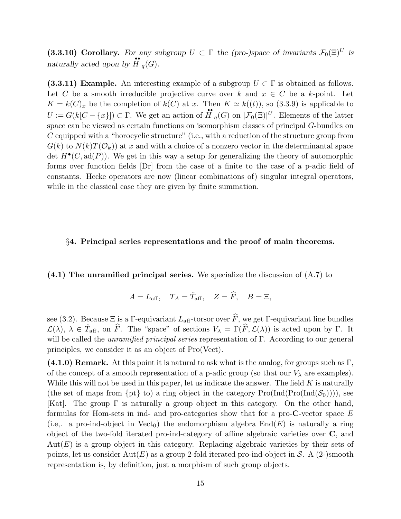(3.3.10) Corollary. For any subgroup  $U \subset \Gamma$  the (pro-)space of invariants  $\mathcal{F}_0(\Xi)^U$  is naturally acted upon by  $\mathbf{H}_q(G)$ .

(3.3.11) Example. An interesting example of a subgroup  $U \subset \Gamma$  is obtained as follows. Let C be a smooth irreducible projective curve over k and  $x \in C$  be a k-point. Let  $K = k(C)_x$  be the completion of  $k(C)$  at x. Then  $K \simeq k((t))$ , so (3.3.9) is applicable to  $U := G(k[C - \{x\}]) \subset \Gamma$ . We get an action of  $\mathbf{H}_{q}(G)$  on  $|\mathcal{F}_{0}(\Xi)|^{U}$ . Elements of the latter space can be viewed as certain functions on isomorphism classes of principal G-bundles on C equipped with a "horocyclic structure" (i.e., with a reduction of the structure group from  $G(k)$  to  $N(k)T(\mathcal{O}_k)$  at x and with a choice of a nonzero vector in the determinantal space det  $H^{\bullet}(C, \text{ad}(P))$ . We get in this way a setup for generalizing the theory of automorphic forms over function fields [Dr] from the case of a finite to the case of a p-adic field of constants. Hecke operators are now (linear combinations of) singular integral operators, while in the classical case they are given by finite summation.

## §4. Principal series representations and the proof of main theorems.

(4.1) The unramified principal series. We specialize the discussion of (A.7) to

$$
A = L_{\text{aff}}, \quad T_A = \check{T}_{\text{aff}}, \quad Z = \hat{F}, \quad B = \Xi,
$$

see (3.2). Because  $\Xi$  is a Γ-equivariant  $L_{\text{aff}}$ -torsor over  $\widehat{F}$ , we get Γ-equivariant line bundles  $\mathcal{L}(\lambda), \lambda \in \check{T}_{\text{aff}}, \text{ on } \hat{F}$ . The "space" of sections  $V_{\lambda} = \Gamma(\hat{F}, \mathcal{L}(\lambda))$  is acted upon by  $\Gamma$ . It will be called the unramified principal series representation of Γ. According to our general principles, we consider it as an object of Pro(Vect).

 $(4.1.0)$  Remark. At this point it is natural to ask what is the analog, for groups such as Γ, of the concept of a smooth representation of a p-adic group (so that our  $V_{\lambda}$  are examples). While this will not be used in this paper, let us indicate the answer. The field  $K$  is naturally (the set of maps from  $\{pt\}$  to) a ring object in the category  $Pro(Ind(Pro(Ind(\mathcal{S}_0))))$ , see [Kat]. The group  $\Gamma$  is naturally a group object in this category. On the other hand, formulas for Hom-sets in ind- and pro-categories show that for a pro- $C$ -vector space  $E$ (i.e.. a pro-ind-object in  $Vect_0$ ) the endomorphism algebra  $End(E)$  is naturally a ring object of the two-fold iterated pro-ind-category of affine algebraic varieties over C, and  $Aut(E)$  is a group object in this category. Replacing algebraic varieties by their sets of points, let us consider  $Aut(E)$  as a group 2-fold iterated pro-ind-object in S. A (2-)smooth representation is, by definition, just a morphism of such group objects.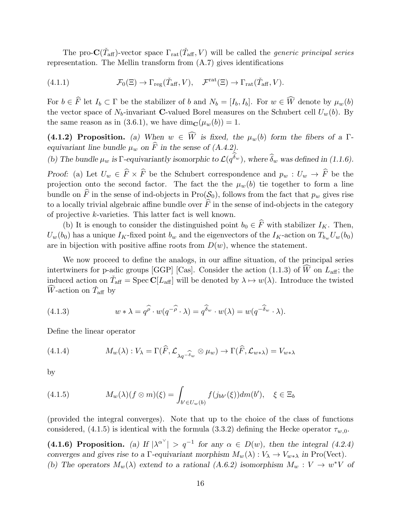The pro- $\mathbf{C}(\check{T}_{\text{aff}})$ -vector space  $\Gamma_{\text{rat}}(\check{T}_{\text{aff}}, V)$  will be called the *generic principal series* representation. The Mellin transform from (A.7) gives identifications

(4.1.1) 
$$
\mathcal{F}_0(\Xi) \to \Gamma_{\text{reg}}(\check{T}_{\text{aff}}, V), \quad \mathcal{F}^{\text{rat}}(\Xi) \to \Gamma_{\text{rat}}(\check{T}_{\text{aff}}, V).
$$

For  $b \in \widehat{F}$  let  $I_b \subset \Gamma$  be the stabilizer of b and  $N_b = [I_b, I_b]$ . For  $w \in \widehat{W}$  denote by  $\mu_w(b)$ the vector space of  $N_b$ -invariant **C**-valued Borel measures on the Schubert cell  $U_w(b)$ . By the same reason as in (3.6.1), we have  $\dim_{\mathbf{C}}(\mu_w(b)) = 1$ .

(4.1.2) Proposition. (a) When  $w \in \widehat{W}$  is fixed, the  $\mu_w(b)$  form the fibers of a Γequivariant line bundle  $\mu_w$  on  $\widehat{F}$  in the sense of (A.4.2).

(b) The bundle 
$$
\mu_w
$$
 is  $\Gamma$ -equivariantly isomorphic to  $\mathcal{L}(q^{\delta_w})$ , where  $\hat{\delta}_w$  was defined in (1.1.6).

Proof: (a) Let  $U_w \in \widehat{F} \times \widehat{F}$  be the Schubert correspondence and  $p_w : U_w \to \widehat{F}$  be the projection onto the second factor. The fact the the  $\mu_w(b)$  tie together to form a line bundle on  $\hat{F}$  in the sense of ind-objects in Pro( $\mathcal{S}_0$ ), follows from the fact that  $p_w$  gives rise to a locally trivial algebraic affine bundle over  $\hat{F}$  in the sense of ind-objects in the category of projective k-varieties. This latter fact is well known.

(b) It is enough to consider the distinguished point  $b_0 \in \hat{F}$  with stabilizer  $I_K$ . Then,  $U_w(b_0)$  has a unique  $I_K$ -fixed point  $b_w$  and the eigenvectors of the  $I_K$ -action on  $T_{b_w} U_w(b_0)$ are in bijection with positive affine roots from  $D(w)$ , whence the statement.

We now proceed to define the analogs, in our affine situation, of the principal series intertwiners for p-adic groups [GGP] [Cas]. Consider the action (1.1.3) of  $\widehat{W}$  on  $L_{\text{aff}}$ ; the induced action on  $\check{T}_{\text{aff}} = \text{Spec } \mathbf{C}[L_{\text{aff}}]$  will be denoted by  $\lambda \mapsto w(\lambda)$ . Introduce the twisted  $\widehat{W}$ -action on  $\check{T}_{\text{aff}}$  by

(4.1.3) 
$$
w * \lambda = q^{\widehat{\rho}} \cdot w(q^{-\widehat{\rho}} \cdot \lambda) = q^{\widehat{\delta}_w} \cdot w(\lambda) = w(q^{-\widehat{\delta}_w} \cdot \lambda).
$$

Define the linear operator

(4.1.4) 
$$
M_w(\lambda) : V_{\lambda} = \Gamma(\widehat{F}, \mathcal{L}_{\lambda q^{-\widehat{\delta}_w}} \otimes \mu_w) \to \Gamma(\widehat{F}, \mathcal{L}_{w \ast \lambda}) = V_{w \ast \lambda}
$$

by

(4.1.5) 
$$
M_w(\lambda)(f \otimes m)(\xi) = \int_{b' \in U_w(b)} f(j_{bb'}(\xi)) dm(b'), \quad \xi \in \Xi_b
$$

(provided the integral converges). Note that up to the choice of the class of functions considered, (4.1.5) is identical with the formula (3.3.2) defining the Hecke operator  $\tau_{w,0}$ .

(4.1.6) Proposition. (a) If  $|\lambda^{\alpha}{}| > q^{-1}$  for any  $\alpha \in D(w)$ , then the integral (4.2.4) converges and gives rise to a Γ-equivariant morphism  $M_w(\lambda) : V_\lambda \to V_{w*\lambda}$  in Pro(Vect). (b) The operators  $M_w(\lambda)$  extend to a rational (A.6.2) isomorphism  $M_w: V \to w^*V$  of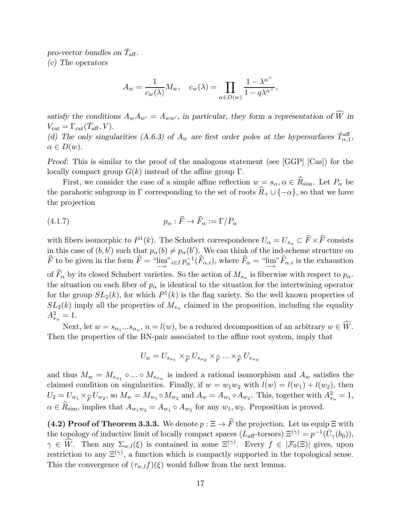pro-vector bundles on  $\check{T}_{\text{aff}}$ . (c) The operators

$$
A_w = \frac{1}{c_w(\lambda)} M_w, \quad c_w(\lambda) = \prod_{\alpha \in D(w)} \frac{1 - \lambda^{\alpha^{\vee}}}{1 - q\lambda^{\alpha^{\vee}}},
$$

satisfy the conditions  $A_wA_{w'} = A_{ww'}$ , in particular, they form a representation of  $\widehat{W}$  in  $V_{\text{rat}} = \Gamma_{\text{rat}}(\check{T}_{\text{aff}}, V).$ (d) The only singularities (A.6.3) of  $A_w$  are first order poles at the hypersurfaces  $\check{T}_{\alpha,1}^{\text{aff}}$ ,  $\alpha \in D(w).$ 

Proof: This is similar to the proof of the analogous statement (see [GGP] [Cas]) for the locally compact group  $G(k)$  instead of the affine group  $\Gamma$ .

First, we consider the case of a simple affine reflection  $w = s_{\alpha}, \alpha \in \widehat{R}_{\text{sim}}$ . Let  $P_{\alpha}$  be the parahoric subgroup in  $\Gamma$  corresponding to the set of roots  $\widehat{R}_+ \cup \{-\alpha\}$ , so that we have the projection

(4.1.7) 
$$
p_{\alpha} : \widehat{F} \to \widehat{F}_{\alpha} := \Gamma / P_{\alpha}
$$

with fibers isomorphic to  $P^1(k)$ . The Schubert correspondence  $U_\alpha = U_{s_\alpha} \subset \widehat{F} \times \widehat{F}$  consists in this case of  $(b, b')$  such that  $p_{\alpha}(b) \neq p_{\alpha}(b')$ . We can think of the ind-scheme structure on  $\widehat{F}$  to be given in the form  $\widehat{F} = \lim_{\longrightarrow} u_i \in I$   $p_{\alpha}^{-1}(\widehat{F}_{\alpha,i})$ , where  $\widehat{F}_{\alpha} = \lim_{\longrightarrow} u_i \widehat{F}_{\alpha,i}$  is the exhaustion of  $F_{\alpha}$  by its closed Schubert varieties. So the action of  $M_{s_{\alpha}}$  is fiberwise with respect to  $p_{\alpha}$ . the situation on each fiber of  $p_{\alpha}$  is identical to the situation for the intertwining operator for the group  $SL_2(k)$ , for which  $P^1(k)$  is the flag variety. So the well known properties of  $SL_2(k)$  imply all the properties of  $M_{s_\alpha}$  claimed in the proposition, including the equality  $A_{s_{\alpha}}^{2} = 1.$ 

Next, let  $w = s_{\alpha_1}...s_{\alpha_n}$ ,  $n = l(w)$ , be a reduced decomposition of an arbitrary  $w \in W$ . Then the properties of the BN-pair associated to the affine root system, imply that

$$
U_w = U_{s_{\alpha_1}} \times_{\widehat{F}} U_{s_{\alpha_2}} \times_{\widehat{F}} \dots \times_{\widehat{F}} U_{s_{\alpha_n}}
$$

and thus  $M_w = M_{s_{\alpha_1}} \circ ... \circ M_{s_{\alpha_n}}$  is indeed a rational isomorphism and  $A_w$  satisfies the claimed condition on singularities. Finally, if  $w = w_1w_2$  with  $l(w) = l(w_1) + l(w_2)$ , then  $U_2 = U_{w_1} \times_{\widehat{F}} U_{w_2}$ , so  $M_w = M_{w_1} \circ M_{w_2}$  and  $A_w = A_{w_1} \circ A_{w_2}$ . This, together with  $A_{s_\alpha}^2 = 1$ ,  $\alpha \in R_{\text{sim}}$ , implies that  $A_{w_1w_2} = A_{w_1} \circ A_{w_2}$  for any  $w_1, w_2$ . Proposition is proved.

(4.2) Proof of Theorem 3.3.3. We denote  $p : \Xi \to \widehat{F}$  the projection. Let us equip  $\Xi$  with the topology of inductive limit of locally compact spaces  $(L_{\text{aff}}$ -torsors)  $\Xi^{(\gamma)} = p^{-1}(\bar{U}_{\gamma}(b_0)),$  $\gamma \in \widehat{W}$ . Then any  $\Sigma_{w,l}(\xi)$  is contained in some  $\Xi^{(\gamma)}$ . Every  $f \in |\mathcal{F}_0(\Xi)|$  gives, upon restriction to any  $\Xi^{(\gamma)}$ , a function which is compactly supported in the topological sense. This the convergence of  $(\tau_{w,l}f)(\xi)$  would follow from the next lemma.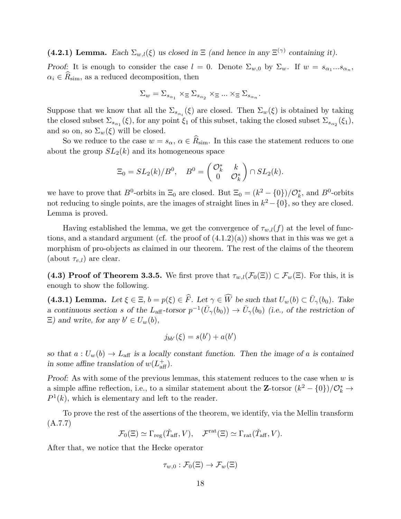(4.2.1) Lemma. Each  $\Sigma_{w,l}(\xi)$  us closed in  $\Xi$  (and hence in any  $\Xi^{(\gamma)}$  containing it).

Proof: It is enough to consider the case  $l = 0$ . Denote  $\Sigma_{w,0}$  by  $\Sigma_w$ . If  $w = s_{\alpha_1}...s_{\alpha_n}$ ,  $\alpha_i \in \widehat{R}_{\text{sim}}$ , as a reduced decomposition, then

$$
\Sigma_w = \Sigma_{s_{\alpha_1}} \times_\Xi \Sigma_{s_{\alpha_2}} \times_\Xi \ldots \times_\Xi \Sigma_{s_{\alpha_n}}.
$$

Suppose that we know that all the  $\Sigma_{s_{\alpha_i}}(\xi)$  are closed. Then  $\Sigma_w(\xi)$  is obtained by taking the closed subset  $\Sigma_{s_{\alpha_1}}(\xi)$ , for any point  $\xi_1$  of this subset, taking the closed subset  $\Sigma_{s_{\alpha_2}}(\xi_1)$ , and so on, so  $\Sigma_w(\xi)$  will be closed.

So we reduce to the case  $w = s_{\alpha}, \alpha \in \widehat{R}_{\text{sim}}$ . In this case the statement reduces to one about the group  $SL_2(k)$  and its homogeneous space

$$
\Xi_0 = SL_2(k)/B^0, \quad B^0 = \begin{pmatrix} \mathcal{O}_k^* & k \\ 0 & \mathcal{O}_k^* \end{pmatrix} \cap SL_2(k).
$$

we have to prove that  $B^0$ -orbits in  $\Xi_0$  are closed. But  $\Xi_0 = (k^2 - \{0\})/\mathcal{O}_k^*$ , and  $B^0$ -orbits not reducing to single points, are the images of straight lines in  $k^2 - \{0\}$ , so they are closed. Lemma is proved.

Having established the lemma, we get the convergence of  $\tau_{w,l}(f)$  at the level of functions, and a standard argument (cf. the proof of  $(4.1.2)(a)$ ) shows that in this was we get a morphism of pro-objects as claimed in our theorem. The rest of the claims of the theorem (about  $\tau_{e,l}$ ) are clear.

(4.3) Proof of Theorem 3.3.5. We first prove that  $\tau_{w,l}(\mathcal{F}_0(\Xi)) \subset \mathcal{F}_w(\Xi)$ . For this, it is enough to show the following.

(4.3.1) Lemma. Let  $\xi \in \Xi$ ,  $b = p(\xi) \in \widehat{F}$ . Let  $\gamma \in \widehat{W}$  be such that  $U_w(b) \subset \overline{U}_{\gamma}(b_0)$ . Take a continuous section s of the  $L_{\text{aff}}$ -torsor  $p^{-1}(\bar{U}_{\gamma}(b_0)) \to \bar{U}_{\gamma}(b_0)$  (i.e., of the restriction of  $\Xi$ ) and write, for any  $b' \in U_w(b)$ ,

$$
j_{bb'}(\xi) = s(b') + a(b')
$$

so that  $a: U_w(b) \to L_{\text{aff}}$  is a locally constant function. Then the image of a is contained in some affine translation of  $w(L_{\text{aff}}^+)$ .

Proof: As with some of the previous lemmas, this statement reduces to the case when  $w$  is a simple affine reflection, i.e., to a similar statement about the **Z**-torsor  $(k^2 - \{0\})/\mathcal{O}_k^* \to$  $P^1(k)$ , which is elementary and left to the reader.

To prove the rest of the assertions of the theorem, we identify, via the Mellin transform (A.7.7)

$$
\mathcal{F}_0(\Xi) \simeq \Gamma_{\text{reg}}(\check{T}_{\text{aff}}, V), \quad \mathcal{F}^{\text{rat}}(\Xi) \simeq \Gamma_{\text{rat}}(\check{T}_{\text{aff}}, V).
$$

After that, we notice that the Hecke operator

$$
\tau_{w,0}:\mathcal{F}_0(\Xi)\to\mathcal{F}_w(\Xi)
$$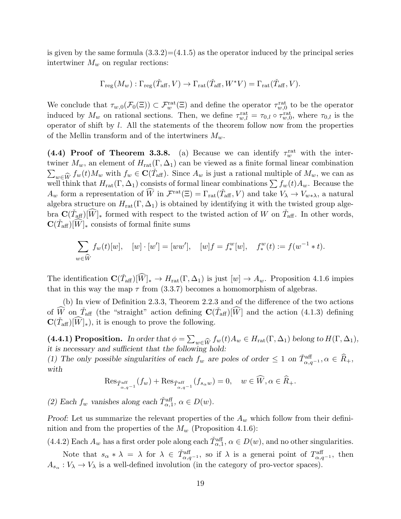is given by the same formula  $(3.3.2)=(4.1.5)$  as the operator induced by the principal series intertwiner  $M_w$  on regular rections:

$$
\Gamma_{\text{reg}}(M_w) : \Gamma_{\text{reg}}(\check{T}_{\text{aff}}, V) \to \Gamma_{\text{rat}}(\check{T}_{\text{aff}}, W^*V) = \Gamma_{\text{rat}}(\check{T}_{\text{aff}}, V).
$$

We conclude that  $\tau_{w,0}(\mathcal{F}_0(\Xi)) \subset \mathcal{F}_w^{\text{rat}}(\Xi)$  and define the operator  $\tau_{w,0}^{\text{rat}}$  to be the operator induced by  $M_w$  on rational sections. Then, we define  $\tau_{w,l}^{\text{rat}} = \tau_{0,l} \circ \tau_{w,0}^{\text{rat}}$ , where  $\tau_{0,l}$  is the operator of shift by l. All the statements of the theorem follow now from the properties of the Mellin transform and of the intertwiners  $M_w$ .

(4.4) Proof of Theorem 3.3.8. (a) Because we can identify  $\tau_w^{\text{rat}}$  with the intertwiner  $M_w$ , an element of  $H_{rat}(\Gamma, \Delta_1)$  can be viewed as a finite formal linear combination  $\sum_{w \in \hat{W}} f_w(t) M_w$  with  $f_w \in \mathbf{C}(\check{T}_{\text{aff}})$ . Since  $A_w$  is just a rational multiple of  $M_w$ , we can as  $\sum_{w \in W} J^w(v) M^w$  with  $J^w \subset \mathcal{L}(\mathcal{A}_{\text{aff}})$ . Since  $M^w$  is just a rational interpretor  $M^w$ , we can as well think that  $H_{\text{rat}}(\Gamma, \Delta_1)$  consists of formal linear combinations  $\sum f_w(t) A_w$ . Because the  $A_w$  form a representation of  $\widehat{W}$  in  $\mathcal{F}^{\text{rat}}(\Xi) = \Gamma_{\text{rat}}(\check{T}_{\text{aff}}, V)$  and take  $V_{\lambda} \to V_{w \ast \lambda}$ , a natural algebra structure on  $H_{rat}(\Gamma, \Delta_1)$  is obtained by identifying it with the twisted group algebra  $\mathbf{C}(\check{T}_{\text{aff}})[\widehat{W}]_*$  formed with respect to the twisted action of W on  $\check{T}_{\text{aff}}$ . In other words,  $\mathbf{C}(\tilde{T}_{\text{aff}})[\widehat{W}]_*$  consists of formal finite sums

$$
\sum_{w \in \widehat{W}} f_w(t)[w], \quad [w] \cdot [w'] = [ww'], \quad [w]f = f_*^w[w], \quad f_*^w(t) := f(w^{-1} * t).
$$

The identification  $\mathbf{C}(\check{T}_{\text{aff}})[\widehat{W}]_* \to H_{\text{rat}}(\Gamma, \Delta_1)$  is just  $[w] \to A_w$ . Proposition 4.1.6 impies that in this way the map  $\tau$  from (3.3.7) becomes a homomorphism of algebras.

(b) In view of Definition 2.3.3, Theorem 2.2.3 and of the difference of the two actions of  $\widehat{W}$  on  $\widetilde{T}_{\text{aff}}$  (the "straight" action defining  $\mathbf{C}(\widetilde{T}_{\text{aff}})[\widehat{W}]$  and the action (4.1.3) defining  $\mathbf{C}(\tilde{T}_{\text{aff}})[\widehat{W}]_{*}$ , it is enough to prove the following.

(4.4.1) Proposition. In order that  $\phi = \sum_{w \in \widehat{W}} f_w(t) A_w \in H_{rat}(\Gamma, \Delta_1)$  belong to  $H(\Gamma, \Delta_1)$ , it is necessary and sufficient that the following hold:

(1) The only possible singularities of each  $f_w$  are poles of order  $\leq 1$  on  $\check{T}_{\alpha,q^{-1}}^{aff}$ ,  $\alpha \in \widehat{R}_+$ , with

$$
\operatorname{Res}_{\check{T}^{\operatorname{aff}}_{\alpha,q^{-1}}}(f_w) + \operatorname{Res}_{\check{T}^{\operatorname{aff}}_{\alpha,q^{-1}}}(f_{s_\alpha w}) = 0, \quad w \in \widehat{W}, \alpha \in \widehat{R}_+.
$$

(2) Each  $f_w$  vanishes along each  $\check{T}_{\alpha,1}^{\text{aff}}, \alpha \in D(w)$ .

Proof: Let us summarize the relevant properties of the  $A_w$  which follow from their defininition and from the properties of the  $M_w$  (Proposition 4.1.6):

(4.4.2) Each  $A_w$  has a first order pole along each  $\check{T}_{\alpha,1}^{\text{aff}}, \alpha \in D(w)$ , and no other singularities.

Note that  $s_{\alpha} * \lambda = \lambda$  for  $\lambda \in \tilde{T}_{\alpha,q^{-1}}^{aff}$ , so if  $\lambda$  is a general point of  $T_{\alpha,q^{-1}}^{aff}$ , then  $A_{s_{\alpha}}: V_{\lambda} \to V_{\lambda}$  is a well-defined involution (in the category of pro-vector spaces).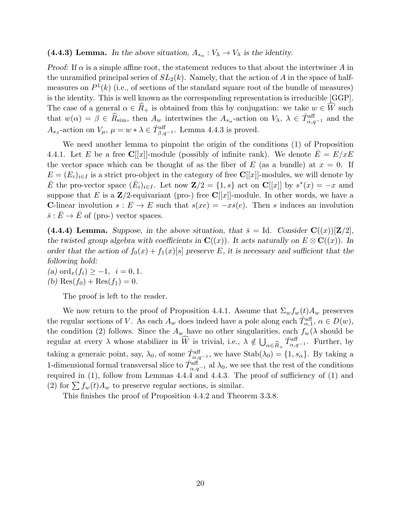# (4.4.3) Lemma. In the above situation,  $A_{s_\alpha}: V_\lambda \to V_\lambda$  is the identity.

*Proof:* If  $\alpha$  is a simple affine root, the statement reduces to that about the intertwiner A in the unramified principal series of  $SL_2(k)$ . Namely, that the action of A in the space of halfmeasures on  $P^1(k)$  (i.e., of sections of the standard square root of the bundle of measures) is the identity. This is well known as the corresponding representation is irreducible [GGP]. The case of a general  $\alpha \in \widehat{R}_+$  is obtained from this by conjugation: we take  $w \in \widehat{W}$  such that  $w(\alpha) = \beta \in \widehat{R}_{\text{sim}}$ , then  $A_w$  intertwines the  $A_{s_\alpha}$ -action on  $V_\lambda$ ,  $\lambda \in \widetilde{T}_{\alpha,q-1}^{\text{aff}}$  and the  $A_{s_{\beta}}$ -action on  $V_{\mu}$ ,  $\mu = w * \lambda \in \check{T}_{\beta,q^{-1}}^{aff}$ . Lemma 4.4.3 is proved.

We need another lemma to pinpoint the origin of the conditions (1) of Proposition 4.4.1. Let E be a free C[[x]]-module (possibly of infinite rank). We denote  $\overline{E} = E/xE$ the vector space which can be thought of as the fiber of E (as a bundle) at  $x = 0$ . If  $E = (E_i)_{i \in I}$  is a strict pro-object in the category of free C[[x]]-modules, we will denote by  $\overline{E}$  the pro-vector space  $(\overline{E}_i)_{i\in I}$ . Let now  $\mathbf{Z}/2 = \{1, s\}$  act on  $\mathbf{C}[[x]]$  by  $s^*(x) = -x$  amd suppose that E is a  $\mathbb{Z}/2$ -equivariant (pro-) free C[[x]]-module. In other words, we have a C-linear involution  $s : E \to E$  such that  $s(xe) = -xs(e)$ . Then s induces an involution  $\bar{s}: \bar{E} \to \bar{E}$  of (pro-) vector spaces.

(4.4.4) Lemma. Suppose, in the above situation, that  $\bar{s} = Id$ . Consider  $\mathbf{C}((x))[\mathbf{Z}/2]$ , the twisted group algebra with coefficients in  $\mathbf{C}((x))$ . It acts naturally on  $E \otimes \mathbf{C}((x))$ . In order that the action of  $f_0(x) + f_1(x)[s]$  preserve E, it is necessary and sufficient that the following hold:

(a) ord<sub>x</sub> $(f_i) \geq -1$ ,  $i = 0, 1$ . (b) Res $(f_0) + \text{Res}(f_1) = 0.$ 

The proof is left to the reader.

We now return to the proof of Proposition 4.4.1. Assume that  $\Sigma_w f_w(t) A_w$  preserves the regular sections of V. As each  $A_w$  does indeed have a pole along each  $\check{T}_{\alpha,1}^{\text{aff}}, \alpha \in D(w)$ , the condition (2) follows. Since the  $A_w$  have no other singularities, each  $f_w(\lambda)$  should be regular at every  $\lambda$  whose stabilizer in  $\widehat{W}$  is trivial, i.e.,  $\lambda \notin \bigcup_{\alpha \in \widehat{R}_+} \check{T}_{\alpha,q^{-1}}^{\text{aff}}$ . Further, by  $\alpha \in R_+$ taking a generaic point, say,  $\lambda_0$ , of some  $\check{T}^{\text{aff}}_{\alpha,q^{-1}}$ , we have  $\text{Stab}(\lambda_0) = \{1, s_\alpha\}$ . By taking a 1-dimensional formal transversal slice to  $\check{T}^{\text{aff}}_{\alpha,q^{-1}}$  al  $\lambda_0$ , we see that the rest of the conditions required in (1), follow from Lemmas 4.4.4 and 4.4.3. The proof of sufficiency of (1) and (2) for  $\sum f_w(t)A_w$  to preserve regular sections, is similar.

This finishes the proof of Proposition 4.4.2 and Theorem 3.3.8.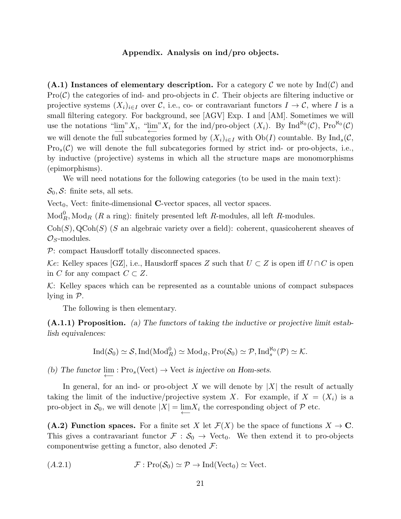### Appendix. Analysis on ind/pro objects.

 $(A.1)$  Instances of elementary description. For a category C we note by  $\text{Ind}(\mathcal{C})$  and  $Pro(\mathcal{C})$  the categories of ind- and pro-objects in  $\mathcal{C}$ . Their objects are filtering inductive or projective systems  $(X_i)_{i\in I}$  over C, i.e., co- or contravariant functors  $I\to\mathcal{C}$ , where I is a small filtering category. For background, see [AGV] Exp. I and [AM]. Sometimes we will use the notations " $\lim_{i \to \infty} X_i$ , " $\lim_{i \to \infty} X_i$  for the ind/pro-object  $(X_i)$ . By Ind<sup>Ro</sup>(C), Pro<sup>R</sup><sup>o</sup>(C) we will denote the full subcategories formed by  $(X_i)_{i\in I}$  with  $Ob(I)$  countable. By  $Ind_s(\mathcal{C},$  $Pro_s(\mathcal{C})$  we will denote the full subcategories formed by strict ind- or pro-objects, i.e., by inductive (projective) systems in which all the structure maps are monomorphisms (epimorphisms).

We will need notations for the following categories (to be used in the main text):

 $\mathcal{S}_0$ ,  $\mathcal{S}$ : finite sets, all sets.

Vect<sub>0</sub>, Vect: finite-dimensional  $C$ -vector spaces, all vector spaces.

 $\text{Mod}_R^0$ ,  $\text{Mod}_R$  (R a ring): finitely presented left R-modules, all left R-modules.

 $Coh(S)$ ,  $QCoh(S)$  (S an algebraic variety over a field): coherent, quasicoherent sheaves of  $\mathcal{O}_S$ -modules.

P: compact Hausdorff totally disconnected spaces.

Ke: Kelley spaces [GZ], i.e., Hausdorff spaces Z such that  $U \subset Z$  is open iff  $U \cap C$  is open in C for any compact  $C \subset Z$ .

 $K:$  Kelley spaces which can be represented as a countable unions of compact subspaces lying in P.

The following is then elementary.

(A.1.1) Proposition. (a) The functors of taking the inductive or projective limit establish equivalences:

$$
\operatorname{Ind}(\mathcal{S}_0) \simeq \mathcal{S}, \operatorname{Ind}(\operatorname{Mod}_R^0) \simeq \operatorname{Mod}_R, \operatorname{Pro}(\mathcal{S}_0) \simeq \mathcal{P}, \operatorname{Ind}_s^{\aleph_0}(\mathcal{P}) \simeq \mathcal{K}.
$$

(b) The functor  $\lim_{\longleftarrow}$  : Pro<sub>s</sub>(Vect) → Vect is injective on Hom-sets.

In general, for an ind- or pro-object X we will denote by  $|X|$  the result of actually taking the limit of the inductive/projective system X. For example, if  $X = (X_i)$  is a pro-object in  $S_0$ , we will denote  $|X| = \lim_{\longleftarrow} X_i$  the corresponding object of  $P$  etc.

(A.2) Function spaces. For a finite set X let  $\mathcal{F}(X)$  be the space of functions  $X \to \mathbf{C}$ . This gives a contravariant functor  $\mathcal{F}: \mathcal{S}_0 \to \text{Vect}_0$ . We then extend it to pro-objects componentwise getting a functor, also denoted  $\mathcal{F}$ :

(A.2.1) F : Pro(S0) ≃ P → Ind(Vect0) ≃ Vect.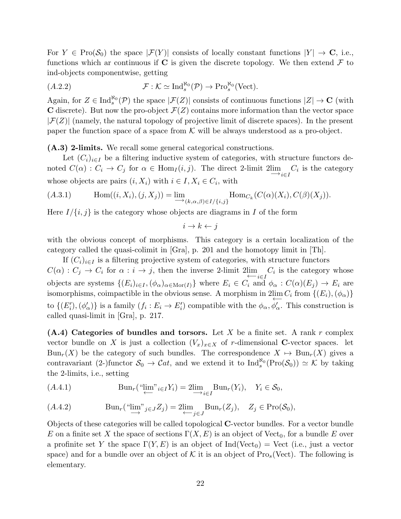For  $Y \in \text{Pro}(\mathcal{S}_0)$  the space  $|\mathcal{F}(Y)|$  consists of locally constant functions  $|Y| \to \mathbf{C}$ , i.e., functions which ar continuous if  $C$  is given the discrete topology. We then extend  $\mathcal F$  to ind-objects componentwise, getting

$$
(A.2.2) \t\t \mathcal{F}: \mathcal{K} \simeq \mathrm{Ind}_{s}^{\aleph_0}(\mathcal{P}) \to \mathrm{Pro}_{s}^{\aleph_0}(\mathrm{Vect}).
$$

Again, for  $Z \in \text{Ind}_{s}^{\aleph_0}(\mathcal{P})$  the space  $|\mathcal{F}(Z)|$  consists of continuous functions  $|Z| \to \mathbf{C}$  (with C discrete). But now the pro-object  $\mathcal{F}(Z)$  contains more information than the vector space  $|\mathcal{F}(Z)|$  (namely, the natural topology of projective limit of discrete spaces). In the present paper the function space of a space from  $K$  will be always understood as a pro-object.

(A.3) 2-limits. We recall some general categorical constructions.

Let  $(C_i)_{i\in I}$  be a filtering inductive system of categories, with structure functors denoted  $C(\alpha)$ :  $C_i \to C_j$  for  $\alpha \in \text{Hom}_I(i, j)$ . The direct 2-limit  $2\lim_{\alpha \to i \in I} C_i$  is the category whose objects are pairs  $(i, X_i)$  with  $i \in I, X_i \in C_i$ , with

$$
(A.3.1) \qquad \operatorname{Hom}((i, X_i), (j, X_j)) = \underline{\lim}_{(k, \alpha, \beta) \in I/\{i, j\}} \operatorname{Hom}_{C_k}(C(\alpha)(X_i), C(\beta)(X_j)).
$$

Here  $I/\{i, j\}$  is the category whose objects are diagrams in I of the form

$$
i \to k \leftarrow j
$$

with the obvious concept of morphisms. This category is a certain localization of the category called the quasi-colimit in [Gra], p. 201 and the homotopy limit in [Th].

If  $(C_i)_{i\in I}$  is a filtering projective system of categories, with structure functors  $C(\alpha): C_j \to C_i$  for  $\alpha: i \to j$ , then the inverse 2-limit  $2\lim_{\substack{\longleftarrow \\ i \in I}} C_i$  is the category whose objects are systems  $\{(E_i)_{i\in I},(\phi_\alpha)_{\alpha\in\mathrm{Mor}(I)}\}$  where  $E_i\in C_i$  and  $\phi_\alpha:C(\alpha)(E_j)\to E_i$  are isomorphisms, coimpactible in the obvious sense. A morphism in  $2 \underset{\longleftarrow}{\lim} C_i$  from  $\{(E_i), (\phi_\alpha)\}$ to  $\{(E'_i),(\phi'_\alpha)\}\$ is a family  $(f_i: E_i \to E'_i)$  compatible with the  $\phi_\alpha, \phi'_\alpha$ . This construction is called quasi-limit in [Gra], p. 217.

 $(A.4)$  Categories of bundles and torsors. Let X be a finite set. A rank r complex vector bundle on X is just a collection  $(V_x)_{x\in X}$  of r-dimensional C-vector spaces. let  $Bun_r(X)$  be the category of such bundles. The correspondence  $X \mapsto Bun_r(X)$  gives a contravariant (2-)functor  $S_0 \to \mathcal{C}at$ , and we extend it to  $\text{Ind}_s^{\aleph_0}(\text{Pro}(\mathcal{S}_0)) \simeq \mathcal{K}$  by taking the 2-limits, i.e., setting

$$
(A.4.1) \qquad \qquad \text{Bun}_r(\text{``lim''}i\in IY_i) = 2\lim_{i\in I} \text{Bun}_r(Y_i), \quad Y_i \in \mathcal{S}_0,
$$

$$
(A.4.2) \qquad \text{Bun}_r(\text{``lim''}j\in JZ_j) = 2\lim_{\leftarrow j\in J} \text{Bun}_r(Z_j), \quad Z_j \in \text{Pro}(\mathcal{S}_0),
$$

Objects of these categories will be called topological C-vector bundles. For a vector bundle E on a finite set X the space of sections  $\Gamma(X, E)$  is an object of Vect<sub>0</sub>, for a bundle E over a profinite set Y the space  $\Gamma(Y, E)$  is an object of Ind(Vect<sub>0</sub>) = Vect (i.e., just a vector space) and for a bundle over an object of K it is an object of  $Pro_s(Vect)$ . The following is elementary.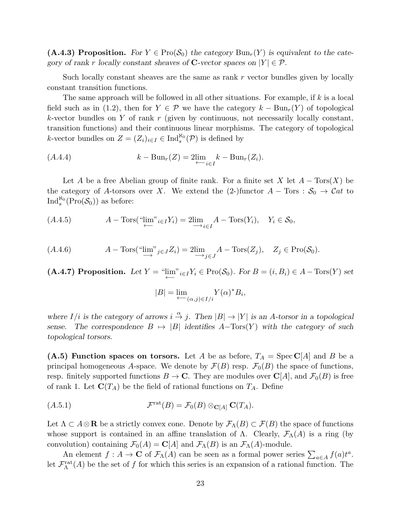(A.4.3) Proposition. For  $Y \in \text{Pro}(\mathcal{S}_0)$  the category  $\text{Bun}_r(Y)$  is equivalent to the category of rank r locally constant sheaves of C-vector spaces on  $|Y| \in \mathcal{P}$ .

Such locally constant sheaves are the same as rank r vector bundles given by locally constant transition functions.

The same approach will be followed in all other situations. For example, if k is a local field such as in (1.2), then for  $Y \in \mathcal{P}$  we have the category  $k - Bun_r(Y)$  of topological  $k$ -vector bundles on Y of rank r (given by continuous, not necessarily locally constant, transition functions) and their continuous linear morphisms. The category of topological k-vector bundles on  $Z = (Z_i)_{i \in I} \in \text{Ind}_s^{\aleph_0}(\mathcal{P})$  is defined by

$$
(A.4.4) \t\t k - Bun_r(Z)=2lim_{\leftarrow i\in I}k - Bun_r(Z_i).
$$

Let A be a free Abelian group of finite rank. For a finite set X let  $A - Tors(X)$  be the category of A-torsors over X. We extend the (2-)functor  $A - T$ ors :  $S_0 \rightarrow \mathcal{C}at$  to  $\operatorname{Ind}_{s}^{\aleph_0}(\operatorname{Pro}(\mathcal{S}_0))$  as before:

$$
(A.4.5) \t A - Tors("lim"_{i \in I} Y_i) = 2lim_{i \in I} A - Tors(Y_i), \quad Y_i \in S_0,
$$

$$
(A.4.6) \tA - Tors("lim"_{j \in J} Z_i) = 2lim_{j \in J} A - Tors(Z_j), \tZ_j \in Pro(S_0).
$$

(A.4.7) Proposition. Let  $Y = \lim_{\longleftarrow}^{\infty} i \in I Y_i \in \text{Pro}(\mathcal{S}_0)$ . For  $B = (i, B_i) \in A - \text{Tors}(Y)$  set

$$
|B| = \lim_{\leftarrow} V(\alpha)^* B_i,
$$

where  $I/i$  is the category of arrows  $i \stackrel{\alpha}{\to} j$ . Then  $|B| \to |Y|$  is an A-torsor in a topological sense. The correspondence  $B \mapsto |B|$  identifies  $A-\text{Tors}(Y)$  with the category of such topological torsors.

(A.5) Function spaces on torsors. Let A be as before,  $T_A = \text{Spec } \mathbb{C}[A]$  and B be a principal homogeneous A-space. We denote by  $\mathcal{F}(B)$  resp.  $\mathcal{F}_0(B)$  the space of functions, resp. finitely supported functions  $B \to \mathbb{C}$ . They are modules over  $\mathbb{C}[A]$ , and  $\mathcal{F}_0(B)$  is free of rank 1. Let  $\mathbf{C}(T_A)$  be the field of rational functions on  $T_A$ . Define

$$
(A.5.1) \t\t \mathcal{F}^{\mathrm{rat}}(B) = \mathcal{F}_0(B) \otimes_{\mathbf{C}[A]} \mathbf{C}(T_A).
$$

Let  $\Lambda \subset A \otimes \mathbf{R}$  be a strictly convex cone. Denote by  $\mathcal{F}_{\Lambda}(B) \subset \mathcal{F}(B)$  the space of functions whose support is contained in an affine translation of  $\Lambda$ . Clearly,  $\mathcal{F}_{\Lambda}(A)$  is a ring (by convolution) containing  $\mathcal{F}_0(A) = \mathbf{C}[A]$  and  $\mathcal{F}_\Lambda(B)$  is an  $\mathcal{F}_\Lambda(A)$ -module.

An element  $f: A \to \mathbf{C}$  of  $\mathcal{F}_{\Lambda}(A)$  can be seen as a formal power series  $\sum_{a \in A} f(a) t^a$ . let  $\mathcal{F}_{\Lambda}^{\mathrm{rat}}(A)$  be the set of f for which this series is an expansion of a rational function. The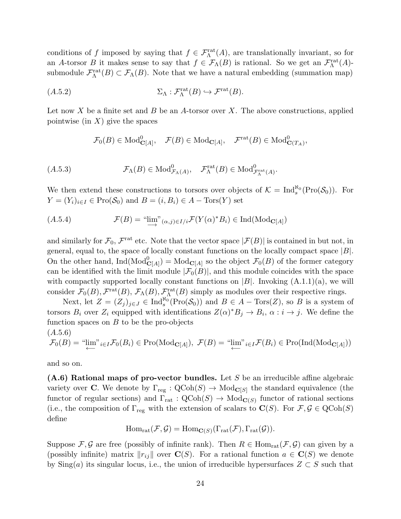conditions of f imposed by saying that  $f \in \mathcal{F}_{\Lambda}^{\text{rat}}(A)$ , are translationally invariant, so for an A-torsor B it makes sense to say that  $f \in \mathcal{F}_{\Lambda}(B)$  is rational. So we get an  $\mathcal{F}_{\Lambda}^{\text{rat}}(A)$ submodule  $\mathcal{F}_{\Lambda}^{\mathrm{rat}}(B) \subset \mathcal{F}_{\Lambda}(B)$ . Note that we have a natural embedding (summation map)

$$
(A.5.2) \t\t \Sigma_{\Lambda} : \mathcal{F}_{\Lambda}^{\mathrm{rat}}(B) \hookrightarrow \mathcal{F}^{\mathrm{rat}}(B).
$$

Let now X be a finite set and B be an A-torsor over X. The above constructions, applied pointwise (in  $X$ ) give the spaces

$$
\mathcal{F}_0(B) \in \text{Mod}_{\mathbf{C}[A]}^0, \quad \mathcal{F}(B) \in \text{Mod}_{\mathbf{C}[A]}, \quad \mathcal{F}^{\text{rat}}(B) \in \text{Mod}_{\mathbf{C}(T_A)}^0,
$$

$$
(A.5.3) \t\t \mathcal{F}_{\Lambda}(B) \in \text{Mod}^0_{\mathcal{F}_{\Lambda}(A)}, \quad \mathcal{F}_{\Lambda}^{\text{rat}}(B) \in \text{Mod}^0_{\mathcal{F}_{\Lambda}^{\text{rat}}(A)}.
$$

We then extend these constructions to torsors over objects of  $\mathcal{K} = \text{Ind}_{s}^{\aleph_0}(\text{Pro}(\mathcal{S}_0))$ . For  $Y = (Y_i)_{i \in I} \in \text{Pro}(\mathcal{S}_0)$  and  $B = (i, B_i) \in A - \text{Tors}(Y)$  set

$$
(A.5.4) \t\t \mathcal{F}(B) = "lim"_{(\alpha,j)\in I/i} \mathcal{F}(Y(\alpha)^*B_i) \in Ind(\text{Mod}_{\mathbf{C}[A]})
$$

and similarly for  $\mathcal{F}_0$ ,  $\mathcal{F}^{\text{rat}}$  etc. Note that the vector space  $|\mathcal{F}(B)|$  is contained in but not, in general, equal to, the space of locally constant functions on the locally compact space  $|B|$ . On the other hand,  $\text{Ind}(\text{Mod}_{\mathbf{C}[A]}^0) = \text{Mod}_{\mathbf{C}[A]}$  so the object  $\mathcal{F}_0(B)$  of the former category can be identified with the limit module  $|\mathcal{F}_0(B)|$ , and this module coincides with the space with compactly supported locally constant functions on  $|B|$ . Invoking  $(A.1.1)(a)$ , we will consider  $\mathcal{F}_0(B), \mathcal{F}^{\text{rat}}(B), \mathcal{F}_\Lambda(B), \mathcal{F}^{\text{rat}}_(\Lambda(B))$  simply as modules over their respective rings.

Next, let  $Z = (Z_j)_{j \in J} \in \text{Ind}_{s}^{\aleph_0}(\text{Pro}(\mathcal{S}_0))$  and  $B \in A - \text{Tors}(Z)$ , so B is a system of torsors  $B_i$  over  $Z_i$  equipped with identifications  $Z(\alpha)^* B_j \to B_i$ ,  $\alpha : i \to j$ . We define the function spaces on  $B$  to be the pro-objects

$$
(A.5.6)
$$
  

$$
\mathcal{F}_0(B) = \text{``lim"}_{i \in I} \mathcal{F}_0(B_i) \in \text{Pro}(\text{Mod}_{\mathbf{C}[A]}), \ \mathcal{F}(B) = \text{``lim"}_{i \in I} \mathcal{F}(B_i) \in \text{Pro}(\text{Ind}(\text{Mod}_{\mathbf{C}[A]}))
$$

and so on.

(A.6) Rational maps of pro-vector bundles. Let S be an irreducible affine algebraic variety over **C**. We denote by  $\Gamma_{reg} : \text{QCoh}(S) \to \text{Mod}_{\mathbf{C}[S]}$  the standard equivalence (the functor of regular sections) and  $\Gamma_{\text{rat}} : \text{QCoh}(S) \to \text{Mod}_{\mathbf{C}(S)}$  functor of rational sections (i.e., the composition of  $\Gamma_{reg}$  with the extension of scalars to  $\mathbf{C}(S)$ . For  $\mathcal{F}, \mathcal{G} \in \text{QCoh}(S)$ define

$$
\mathrm{Hom}_{\mathrm{rat}}(\mathcal{F}, \mathcal{G}) = \mathrm{Hom}_{\mathbf{C}(S)}(\Gamma_{\mathrm{rat}}(\mathcal{F}), \Gamma_{\mathrm{rat}}(\mathcal{G})).
$$

Suppose  $\mathcal{F}, \mathcal{G}$  are free (possibly of infinite rank). Then  $R \in \text{Hom}_{rat}(\mathcal{F}, \mathcal{G})$  can given by a (possibly infinite) matrix  $||r_{ij}||$  over  $\mathbf{C}(S)$ . For a rational function  $a \in \mathbf{C}(S)$  we denote by Sing(a) its singular locus, i.e., the union of irreducible hypersurfaces  $Z \subset S$  such that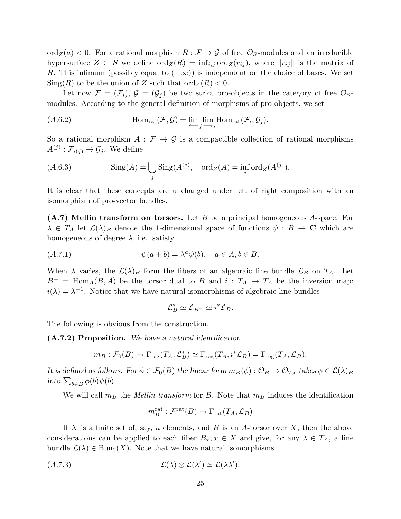$\text{ord}_Z(a) < 0$ . For a rational morphism  $R : \mathcal{F} \to \mathcal{G}$  of free  $\mathcal{O}_S$ -modules and an irreducible hypersurface  $Z \subset S$  we define  $\text{ord}_Z(R) = \inf_{i,j} \text{ord}_Z(r_{ij}),$  where  $||r_{ij}||$  is the matrix of R. This infimum (possibly equal to  $(-\infty)$ ) is independent on the choice of bases. We set  $\text{Sing}(R)$  to be the union of Z such that  $\text{ord}_Z(R) < 0$ .

Let now  $\mathcal{F} = (\mathcal{F}_i)$ ,  $\mathcal{G} = (\mathcal{G}_i)$  be two strict pro-objects in the category of free  $\mathcal{O}_S$ modules. According to the general definition of morphisms of pro-objects, we set

(A.6.2) 
$$
\text{Hom}_{\text{rat}}(\mathcal{F}, \mathcal{G}) = \varprojlim_{j} \lim_{i} \text{Hom}_{\text{rat}}(\mathcal{F}_i, \mathcal{G}_j).
$$

So a rational morphism  $A : \mathcal{F} \to \mathcal{G}$  is a compactible collection of rational morphisms  $A^{(j)}: \mathcal{F}_{i(j)} \to \mathcal{G}_j$ . We define

(A.6.3) Sing(A) = [ j Sing(A (j) , ordZ(A) = inf j ordZ(A (j) ).

It is clear that these concepts are unchanged under left of right composition with an isomorphism of pro-vector bundles.

 $(A.7)$  Mellin transform on torsors. Let B be a principal homogeneous A-space. For  $\lambda \in T_A$  let  $\mathcal{L}(\lambda)_B$  denote the 1-dimensional space of functions  $\psi : B \to \mathbb{C}$  which are homogeneous of degree  $\lambda$ , i.e., satisfy

$$
(A.7.1) \t\t \psi(a+b) = \lambda^a \psi(b), \quad a \in A, b \in B.
$$

When  $\lambda$  varies, the  $\mathcal{L}(\lambda)$  form the fibers of an algebraic line bundle  $\mathcal{L}_B$  on  $T_A$ . Let  $B^-$  = Hom<sub>A</sub>(B,A) be the torsor dual to B and i :  $T_A \rightarrow T_A$  be the inversion map:  $i(\lambda) = \lambda^{-1}$ . Notice that we have natural isomorphisms of algebraic line bundles

$$
\mathcal{L}_B^* \simeq \mathcal{L}_{B^-} \simeq i^* \mathcal{L}_B.
$$

The following is obvious from the construction.

(A.7.2) Proposition. We have a natural identification

$$
m_B: \mathcal{F}_0(B) \to \Gamma_{\text{reg}}(T_A, \mathcal{L}_B^*) \simeq \Gamma_{\text{reg}}(T_A, i^*\mathcal{L}_B) = \Gamma_{\text{reg}}(T_A, \mathcal{L}_B).
$$

It is defined as follows. For  $\phi \in \mathcal{F}_0(B)$  the linear form  $m_B(\phi) : \mathcal{O}_B \to \mathcal{O}_{T_A}$  takes  $\phi \in \mathcal{L}(\lambda)_B$ into  $\sum_{b \in B} \phi(b) \psi(b)$ .

We will call  $m_B$  the *Mellin transform* for B. Note that  $m_B$  induces the identification

$$
m_B^{\mathrm{rat}} : \mathcal{F}^{\mathrm{rat}}(B) \to \Gamma_{\mathrm{rat}}(T_A, \mathcal{L}_B)
$$

If X is a finite set of, say, n elements, and B is an A-torsor over  $X$ , then the above considerations can be applied to each fiber  $B_x, x \in X$  and give, for any  $\lambda \in T_A$ , a line bundle  $\mathcal{L}(\lambda) \in \text{Bun}_1(X)$ . Note that we have natural isomorphisms

$$
(A.7.3) \t\t \mathcal{L}(\lambda) \otimes \mathcal{L}(\lambda') \simeq \mathcal{L}(\lambda \lambda').
$$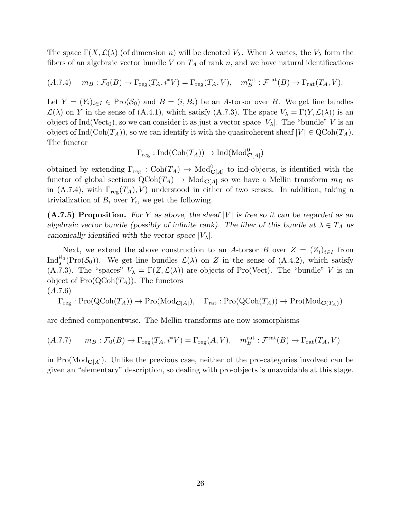The space  $\Gamma(X, \mathcal{L}(\lambda))$  (of dimension n) will be denoted  $V_\lambda$ . When  $\lambda$  varies, the  $V_\lambda$  form the fibers of an algebraic vector bundle V on  $T_A$  of rank n, and we have natural identifications

$$
(A.7.4) \t m_B: \mathcal{F}_0(B) \to \Gamma_{\text{reg}}(T_A, i^*V) = \Gamma_{\text{reg}}(T_A, V), \t m_B^{\text{rat}}: \mathcal{F}^{\text{rat}}(B) \to \Gamma_{\text{rat}}(T_A, V).
$$

Let  $Y = (Y_i)_{i \in I} \in \text{Pro}(\mathcal{S}_0)$  and  $B = (i, B_i)$  be an A-torsor over B. We get line bundles  $\mathcal{L}(\lambda)$  on Y in the sense of (A.4.1), which satisfy (A.7.3). The space  $V_{\lambda} = \Gamma(Y, \mathcal{L}(\lambda))$  is an object of Ind(Vect<sub>0</sub>), so we can consider it as just a vector space  $|V_\lambda|$ . The "bundle" V is an object of Ind( $\text{Coh}(T_A)$ ), so we can identify it with the quasicoherent sheaf  $|V| \in \text{QCoh}(T_A)$ . The functor

$$
\Gamma_{\mathrm{reg}} : \mathrm{Ind}(\mathrm{Coh}(T_A)) \to \mathrm{Ind}(\mathrm{Mod}^0_{\mathbf{C}[A]})
$$

obtained by extending  $\Gamma_{\text{reg}}: \text{Coh}(T_A) \to \text{Mod}_{\mathbf{C}[A]}^0$  to ind-objects, is identified with the functor of global sections  $Q\text{Coh}(T_A) \to \text{Mod}_{\mathbf{C}[A]}$  so we have a Mellin transform  $m_B$  as in (A.7.4), with  $\Gamma_{reg}(T_A), V$ ) understood in either of two senses. In addition, taking a trivialization of  $B_i$  over  $Y_i$ , we get the following.

 $(A.7.5)$  Proposition. For Y as above, the sheaf |V| is free so it can be regarded as an algebraic vector bundle (possibly of infinite rank). The fiber of this bundle at  $\lambda \in T_A$  us canonically identified with the vector space  $|V_\lambda|$ .

Next, we extend the above construction to an A-torsor B over  $Z = (Z_i)_{i \in I}$  from Ind<sup> $\aleph_0$ </sup> (Pro( $\mathcal{S}_0$ )). We get line bundles  $\mathcal{L}(\lambda)$  on Z in the sense of (A.4.2), which satisfy (A.7.3). The "spaces"  $V_{\lambda} = \Gamma(Z, \mathcal{L}(\lambda))$  are objects of Pro(Vect). The "bundle" V is an object of  $\text{Pro}(\text{QCoh}(T_A))$ . The functors (A.7.6)

$$
\Gamma_{\text{reg}}: \text{Pro}(\text{QCoh}(T_A)) \to \text{Pro}(\text{Mod}_{\mathbf{C}[A]}), \quad \Gamma_{\text{rat}}: \text{Pro}(\text{QCoh}(T_A)) \to \text{Pro}(\text{Mod}_{\mathbf{C}(T_A)})
$$

are defined componentwise. The Mellin transforms are now isomorphisms

$$
(A.7.7) \qquad m_B: \mathcal{F}_0(B) \to \Gamma_{\text{reg}}(T_A, i^*V) = \Gamma_{\text{reg}}(A, V), \quad m_B^{\text{rat}}: \mathcal{F}^{\text{rat}}(B) \to \Gamma_{\text{rat}}(T_A, V)
$$

in  $Pro(Mod_{C[A]})$ . Unlike the previous case, neither of the pro-categories involved can be given an "elementary" description, so dealing with pro-objects is unavoidable at this stage.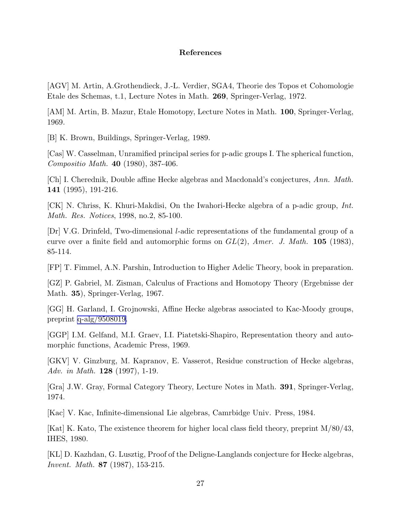# References

[AGV] M. Artin, A.Grothendieck, J.-L. Verdier, SGA4, Theorie des Topos et Cohomologie Etale des Schemas, t.1, Lecture Notes in Math. 269, Springer-Verlag, 1972.

[AM] M. Artin, B. Mazur, Etale Homotopy, Lecture Notes in Math. 100, Springer-Verlag, 1969.

[B] K. Brown, Buildings, Springer-Verlag, 1989.

[Cas] W. Casselman, Unramified principal series for p-adic groups I. The spherical function, Compositio Math. 40 (1980), 387-406.

[Ch] I. Cherednik, Double affine Hecke algebras and Macdonald's conjectures, Ann. Math. 141 (1995), 191-216.

[CK] N. Chriss, K. Khuri-Makdisi, On the Iwahori-Hecke algebra of a p-adic group, Int. Math. Res. Notices, 1998, no.2, 85-100.

[Dr] V.G. Drinfeld, Two-dimensional l-adic representations of the fundamental group of a curve over a finite field and automorphic forms on  $GL(2)$ , Amer. J. Math. 105 (1983), 85-114.

[FP] T. Fimmel, A.N. Parshin, Introduction to Higher Adelic Theory, book in preparation.

[GZ] P. Gabriel, M. Zisman, Calculus of Fractions and Homotopy Theory (Ergebnisse der Math. 35), Springer-Verlag, 1967.

[GG] H. Garland, I. Grojnowski, Affine Hecke algebras associated to Kac-Moody groups, preprint [q-alg/9508019.](http://arxiv.org/abs/q-alg/9508019)

[GGP] I.M. Gelfand, M.I. Graev, I.I. Piatetski-Shapiro, Representation theory and automorphic functions, Academic Press, 1969.

[GKV] V. Ginzburg, M. Kapranov, E. Vasserot, Residue construction of Hecke algebras, Adv. in Math. 128 (1997), 1-19.

[Gra] J.W. Gray, Formal Category Theory, Lecture Notes in Math. 391, Springer-Verlag, 1974.

[Kac] V. Kac, Infinite-dimensional Lie algebras, Camrbidge Univ. Press, 1984.

[Kat] K. Kato, The existence theorem for higher local class field theory, preprint M/80/43, IHES, 1980.

[KL] D. Kazhdan, G. Lusztig, Proof of the Deligne-Langlands conjecture for Hecke algebras, Invent. Math. 87 (1987), 153-215.